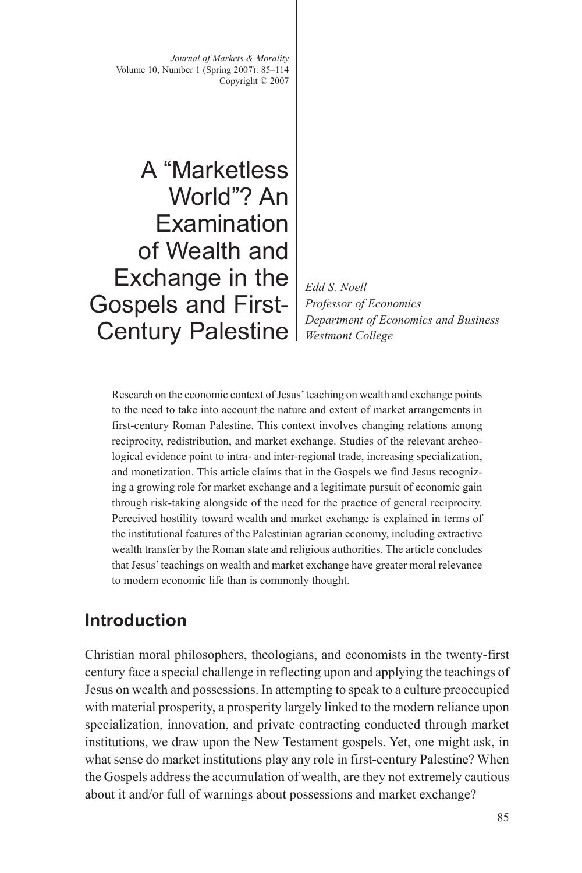*Journal of Markets & Morality* Volume 10, Number 1 (Spring 2007): 85–114 Copyright © 2007

A "Marketless World"? An **Examination** of Wealth and Exchange in the Gospels and First-Century Palestine

*Edd S. Noell Professor of Economics Department of Economics and Business Westmont College*

Research on the economic context of Jesus' teaching on wealth and exchange points to the need to take into account the nature and extent of market arrangements in first-century Roman Palestine. This context involves changing relations among reciprocity, redistribution, and market exchange. Studies of the relevant archeological evidence point to intra- and inter-regional trade, increasing specialization, and monetization. This article claims that in the Gospels we find Jesus recognizing a growing role for market exchange and a legitimate pursuit of economic gain through risk-taking alongside of the need for the practice of general reciprocity. Perceived hostility toward wealth and market exchange is explained in terms of the institutional features of the Palestinian agrarian economy, including extractive wealth transfer by the Roman state and religious authorities. The article concludes that Jesus' teachings on wealth and market exchange have greater moral relevance to modern economic life than is commonly thought.

### **Introduction**

Christian moral philosophers, theologians, and economists in the twenty-first century face a special challenge in reflecting upon and applying the teachings of Jesus on wealth and possessions. In attempting to speak to a culture preoccupied with material prosperity, a prosperity largely linked to the modern reliance upon specialization, innovation, and private contracting conducted through market institutions, we draw upon the New Testament gospels. Yet, one might ask, in what sense do market institutions play any role in first-century Palestine? When the Gospels address the accumulation of wealth, are they not extremely cautious about it and/or full of warnings about possessions and market exchange?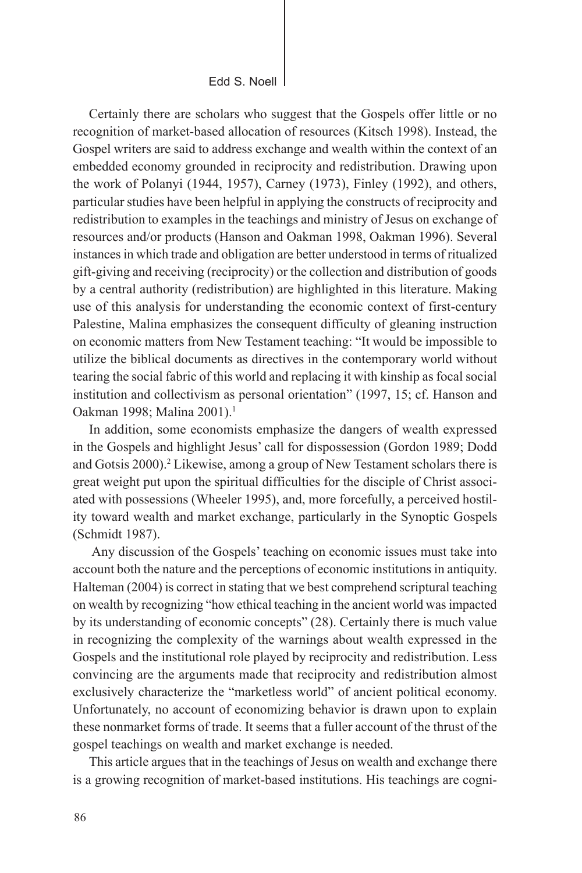Edd S. Noell

Certainly there are scholars who suggest that the Gospels offer little or no recognition of market-based allocation of resources (Kitsch 1998). Instead, the Gospel writers are said to address exchange and wealth within the context of an embedded economy grounded in reciprocity and redistribution. Drawing upon the work of Polanyi (1944, 1957), Carney (1973), Finley (1992), and others, particular studies have been helpful in applying the constructs of reciprocity and redistribution to examples in the teachings and ministry of Jesus on exchange of resources and/or products (Hanson and Oakman 1998, Oakman 1996). Several instances in which trade and obligation are better understood in terms of ritualized gift-giving and receiving (reciprocity) or the collection and distribution of goods by a central authority (redistribution) are highlighted in this literature. Making use of this analysis for understanding the economic context of first-century Palestine, Malina emphasizes the consequent difficulty of gleaning instruction on economic matters from New Testament teaching: "It would be impossible to utilize the biblical documents as directives in the contemporary world without tearing the social fabric of this world and replacing it with kinship as focal social institution and collectivism as personal orientation" (1997, 15; cf. Hanson and Oakman 1998; Malina 2001).<sup>1</sup>

In addition, some economists emphasize the dangers of wealth expressed in the Gospels and highlight Jesus' call for dispossession (Gordon 1989; Dodd and Gotsis 2000).<sup>2</sup> Likewise, among a group of New Testament scholars there is great weight put upon the spiritual difficulties for the disciple of Christ associated with possessions (Wheeler 1995), and, more forcefully, a perceived hostility toward wealth and market exchange, particularly in the Synoptic Gospels (Schmidt 1987).

 Any discussion of the Gospels' teaching on economic issues must take into account both the nature and the perceptions of economic institutions in antiquity. Halteman (2004) is correct in stating that we best comprehend scriptural teaching on wealth by recognizing "how ethical teaching in the ancient world was impacted by its understanding of economic concepts" (28). Certainly there is much value in recognizing the complexity of the warnings about wealth expressed in the Gospels and the institutional role played by reciprocity and redistribution. Less convincing are the arguments made that reciprocity and redistribution almost exclusively characterize the "marketless world" of ancient political economy. Unfortunately, no account of economizing behavior is drawn upon to explain these nonmarket forms of trade. It seems that a fuller account of the thrust of the gospel teachings on wealth and market exchange is needed.

This article argues that in the teachings of Jesus on wealth and exchange there is a growing recognition of market-based institutions. His teachings are cogni-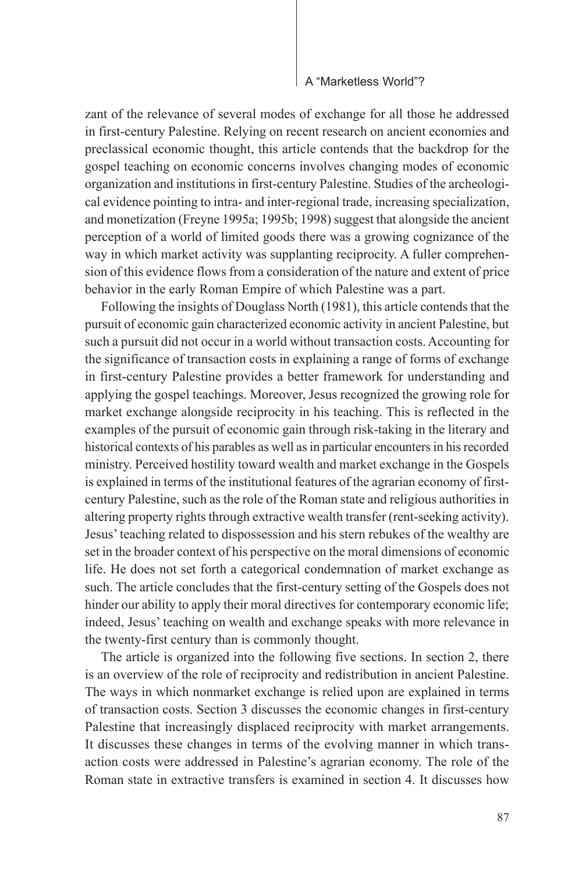zant of the relevance of several modes of exchange for all those he addressed in first-century Palestine. Relying on recent research on ancient economies and preclassical economic thought, this article contends that the backdrop for the gospel teaching on economic concerns involves changing modes of economic organization and institutions in first-century Palestine. Studies of the archeological evidence pointing to intra- and inter-regional trade, increasing specialization, and monetization (Freyne 1995a; 1995b; 1998) suggest that alongside the ancient perception of a world of limited goods there was a growing cognizance of the way in which market activity was supplanting reciprocity. A fuller comprehension of this evidence flows from a consideration of the nature and extent of price behavior in the early Roman Empire of which Palestine was a part.

Following the insights of Douglass North (1981), this article contends that the pursuit of economic gain characterized economic activity in ancient Palestine, but such a pursuit did not occur in a world without transaction costs. Accounting for the significance of transaction costs in explaining a range of forms of exchange in first-century Palestine provides a better framework for understanding and applying the gospel teachings. Moreover, Jesus recognized the growing role for market exchange alongside reciprocity in his teaching. This is reflected in the examples of the pursuit of economic gain through risk-taking in the literary and historical contexts of his parables as well as in particular encounters in his recorded ministry. Perceived hostility toward wealth and market exchange in the Gospels is explained in terms of the institutional features of the agrarian economy of firstcentury Palestine, such as the role of the Roman state and religious authorities in altering property rights through extractive wealth transfer (rent-seeking activity). Jesus' teaching related to dispossession and his stern rebukes of the wealthy are set in the broader context of his perspective on the moral dimensions of economic life. He does not set forth a categorical condemnation of market exchange as such. The article concludes that the first-century setting of the Gospels does not hinder our ability to apply their moral directives for contemporary economic life; indeed, Jesus' teaching on wealth and exchange speaks with more relevance in the twenty-first century than is commonly thought.

The article is organized into the following five sections. In section 2, there is an overview of the role of reciprocity and redistribution in ancient Palestine. The ways in which nonmarket exchange is relied upon are explained in terms of transaction costs. Section 3 discusses the economic changes in first-century Palestine that increasingly displaced reciprocity with market arrangements. It discusses these changes in terms of the evolving manner in which transaction costs were addressed in Palestine's agrarian economy. The role of the Roman state in extractive transfers is examined in section 4. It discusses how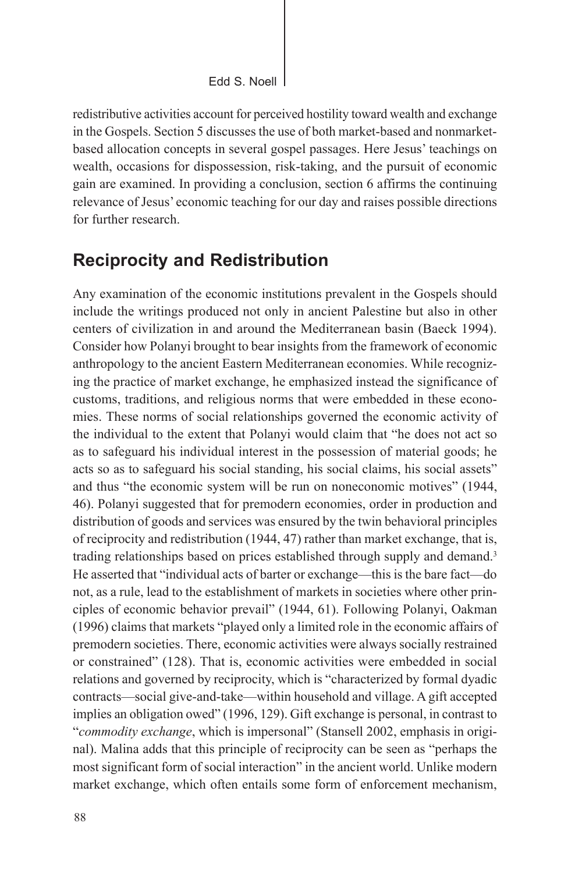redistributive activities account for perceived hostility toward wealth and exchange in the Gospels. Section 5 discusses the use of both market-based and nonmarketbased allocation concepts in several gospel passages. Here Jesus' teachings on wealth, occasions for dispossession, risk-taking, and the pursuit of economic gain are examined. In providing a conclusion, section 6 affirms the continuing relevance of Jesus' economic teaching for our day and raises possible directions for further research.

### **Reciprocity and Redistribution**

Any examination of the economic institutions prevalent in the Gospels should include the writings produced not only in ancient Palestine but also in other centers of civilization in and around the Mediterranean basin (Baeck 1994). Consider how Polanyi brought to bear insights from the framework of economic anthropology to the ancient Eastern Mediterranean economies. While recognizing the practice of market exchange, he emphasized instead the significance of customs, traditions, and religious norms that were embedded in these economies. These norms of social relationships governed the economic activity of the individual to the extent that Polanyi would claim that "he does not act so as to safeguard his individual interest in the possession of material goods; he acts so as to safeguard his social standing, his social claims, his social assets" and thus "the economic system will be run on noneconomic motives" (1944, 46). Polanyi suggested that for premodern economies, order in production and distribution of goods and services was ensured by the twin behavioral principles of reciprocity and redistribution (1944, 47) rather than market exchange, that is, trading relationships based on prices established through supply and demand.<sup>3</sup> He asserted that "individual acts of barter or exchange—this is the bare fact—do not, as a rule, lead to the establishment of markets in societies where other principles of economic behavior prevail" (1944, 61). Following Polanyi, Oakman (1996) claims that markets "played only a limited role in the economic affairs of premodern societies. There, economic activities were always socially restrained or constrained" (128). That is, economic activities were embedded in social relations and governed by reciprocity, which is "characterized by formal dyadic contracts—social give-and-take—within household and village. A gift accepted implies an obligation owed" (1996, 129). Gift exchange is personal, in contrast to "*commodity exchange*, which is impersonal" (Stansell 2002, emphasis in original). Malina adds that this principle of reciprocity can be seen as "perhaps the most significant form of social interaction" in the ancient world. Unlike modern market exchange, which often entails some form of enforcement mechanism,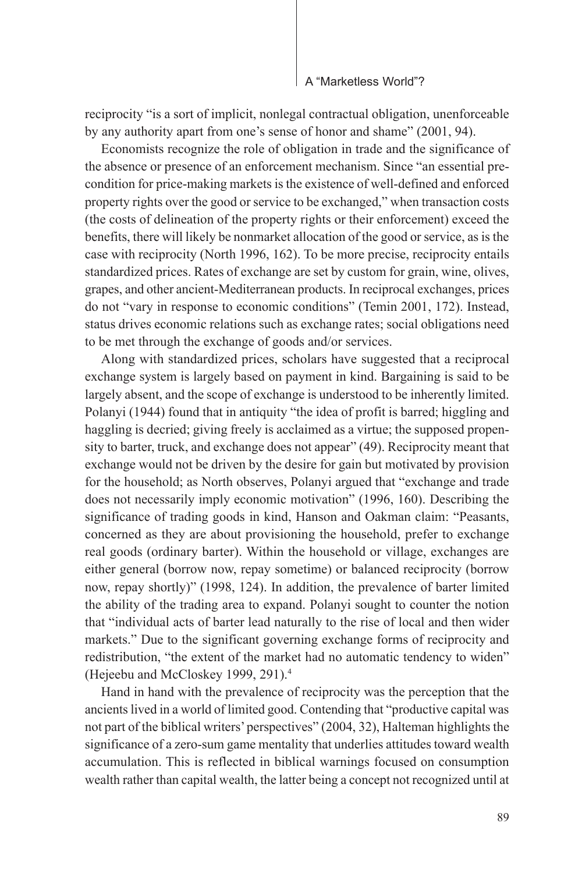reciprocity "is a sort of implicit, nonlegal contractual obligation, unenforceable by any authority apart from one's sense of honor and shame" (2001, 94).

Economists recognize the role of obligation in trade and the significance of the absence or presence of an enforcement mechanism. Since "an essential precondition for price-making markets is the existence of well-defined and enforced property rights over the good or service to be exchanged," when transaction costs (the costs of delineation of the property rights or their enforcement) exceed the benefits, there will likely be nonmarket allocation of the good or service, as is the case with reciprocity (North 1996, 162). To be more precise, reciprocity entails standardized prices. Rates of exchange are set by custom for grain, wine, olives, grapes, and other ancient-Mediterranean products. In reciprocal exchanges, prices do not "vary in response to economic conditions" (Temin 2001, 172). Instead, status drives economic relations such as exchange rates; social obligations need to be met through the exchange of goods and/or services.

Along with standardized prices, scholars have suggested that a reciprocal exchange system is largely based on payment in kind. Bargaining is said to be largely absent, and the scope of exchange is understood to be inherently limited. Polanyi (1944) found that in antiquity "the idea of profit is barred; higgling and haggling is decried; giving freely is acclaimed as a virtue; the supposed propensity to barter, truck, and exchange does not appear" (49). Reciprocity meant that exchange would not be driven by the desire for gain but motivated by provision for the household; as North observes, Polanyi argued that "exchange and trade does not necessarily imply economic motivation" (1996, 160). Describing the significance of trading goods in kind, Hanson and Oakman claim: "Peasants, concerned as they are about provisioning the household, prefer to exchange real goods (ordinary barter). Within the household or village, exchanges are either general (borrow now, repay sometime) or balanced reciprocity (borrow now, repay shortly)" (1998, 124). In addition, the prevalence of barter limited the ability of the trading area to expand. Polanyi sought to counter the notion that "individual acts of barter lead naturally to the rise of local and then wider markets." Due to the significant governing exchange forms of reciprocity and redistribution, "the extent of the market had no automatic tendency to widen" (Hejeebu and McCloskey 1999, 291).4

Hand in hand with the prevalence of reciprocity was the perception that the ancients lived in a world of limited good. Contending that "productive capital was not part of the biblical writers' perspectives" (2004, 32), Halteman highlights the significance of a zero-sum game mentality that underlies attitudes toward wealth accumulation. This is reflected in biblical warnings focused on consumption wealth rather than capital wealth, the latter being a concept not recognized until at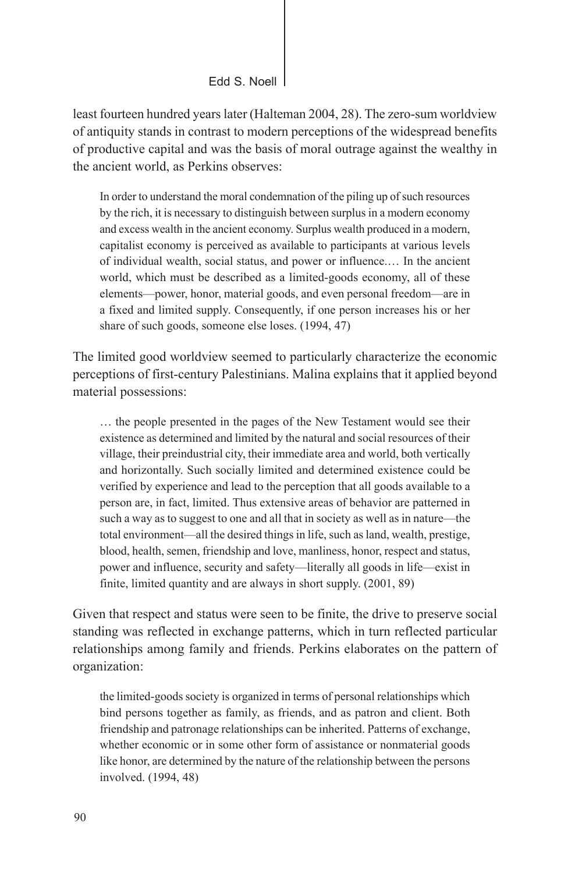least fourteen hundred years later (Halteman 2004, 28). The zero-sum worldview of antiquity stands in contrast to modern perceptions of the widespread benefits of productive capital and was the basis of moral outrage against the wealthy in the ancient world, as Perkins observes:

In order to understand the moral condemnation of the piling up of such resources by the rich, it is necessary to distinguish between surplus in a modern economy and excess wealth in the ancient economy. Surplus wealth produced in a modern, capitalist economy is perceived as available to participants at various levels of individual wealth, social status, and power or influence.… In the ancient world, which must be described as a limited-goods economy, all of these elements—power, honor, material goods, and even personal freedom—are in a fixed and limited supply. Consequently, if one person increases his or her share of such goods, someone else loses. (1994, 47)

The limited good worldview seemed to particularly characterize the economic perceptions of first-century Palestinians. Malina explains that it applied beyond material possessions:

… the people presented in the pages of the New Testament would see their existence as determined and limited by the natural and social resources of their village, their preindustrial city, their immediate area and world, both vertically and horizontally. Such socially limited and determined existence could be verified by experience and lead to the perception that all goods available to a person are, in fact, limited. Thus extensive areas of behavior are patterned in such a way as to suggest to one and all that in society as well as in nature—the total environment—all the desired things in life, such as land, wealth, prestige, blood, health, semen, friendship and love, manliness, honor, respect and status, power and influence, security and safety—literally all goods in life—exist in finite, limited quantity and are always in short supply. (2001, 89)

Given that respect and status were seen to be finite, the drive to preserve social standing was reflected in exchange patterns, which in turn reflected particular relationships among family and friends. Perkins elaborates on the pattern of organization:

the limited-goods society is organized in terms of personal relationships which bind persons together as family, as friends, and as patron and client. Both friendship and patronage relationships can be inherited. Patterns of exchange, whether economic or in some other form of assistance or nonmaterial goods like honor, are determined by the nature of the relationship between the persons involved. (1994, 48)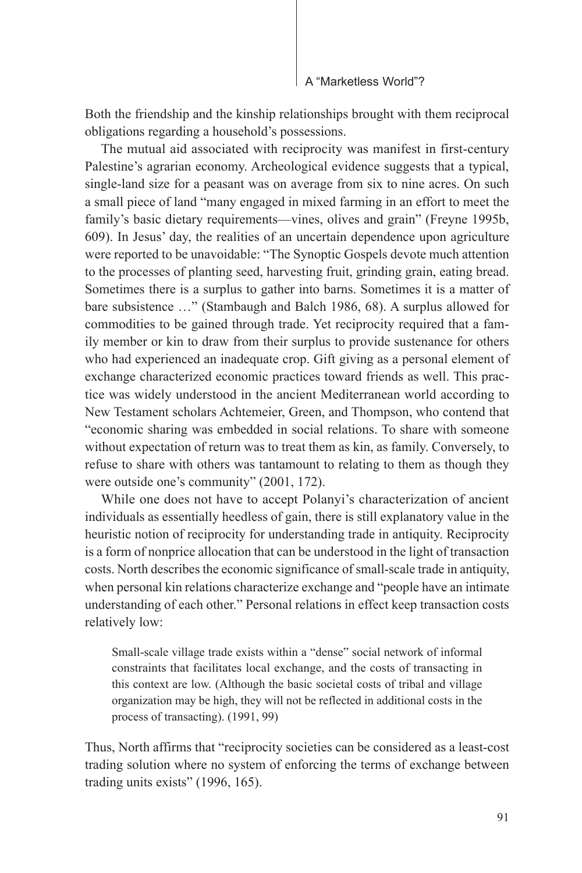Both the friendship and the kinship relationships brought with them reciprocal obligations regarding a household's possessions.

The mutual aid associated with reciprocity was manifest in first-century Palestine's agrarian economy. Archeological evidence suggests that a typical, single-land size for a peasant was on average from six to nine acres. On such a small piece of land "many engaged in mixed farming in an effort to meet the family's basic dietary requirements—vines, olives and grain" (Freyne 1995b, 609). In Jesus' day, the realities of an uncertain dependence upon agriculture were reported to be unavoidable: "The Synoptic Gospels devote much attention to the processes of planting seed, harvesting fruit, grinding grain, eating bread. Sometimes there is a surplus to gather into barns. Sometimes it is a matter of bare subsistence …" (Stambaugh and Balch 1986, 68). A surplus allowed for commodities to be gained through trade. Yet reciprocity required that a family member or kin to draw from their surplus to provide sustenance for others who had experienced an inadequate crop. Gift giving as a personal element of exchange characterized economic practices toward friends as well. This practice was widely understood in the ancient Mediterranean world according to New Testament scholars Achtemeier, Green, and Thompson, who contend that "economic sharing was embedded in social relations. To share with someone without expectation of return was to treat them as kin, as family. Conversely, to refuse to share with others was tantamount to relating to them as though they were outside one's community" (2001, 172).

While one does not have to accept Polanyi's characterization of ancient individuals as essentially heedless of gain, there is still explanatory value in the heuristic notion of reciprocity for understanding trade in antiquity. Reciprocity is a form of nonprice allocation that can be understood in the light of transaction costs. North describes the economic significance of small-scale trade in antiquity, when personal kin relations characterize exchange and "people have an intimate understanding of each other." Personal relations in effect keep transaction costs relatively low:

Small-scale village trade exists within a "dense" social network of informal constraints that facilitates local exchange, and the costs of transacting in this context are low. (Although the basic societal costs of tribal and village organization may be high, they will not be reflected in additional costs in the process of transacting). (1991, 99)

Thus, North affirms that "reciprocity societies can be considered as a least-cost trading solution where no system of enforcing the terms of exchange between trading units exists" (1996, 165).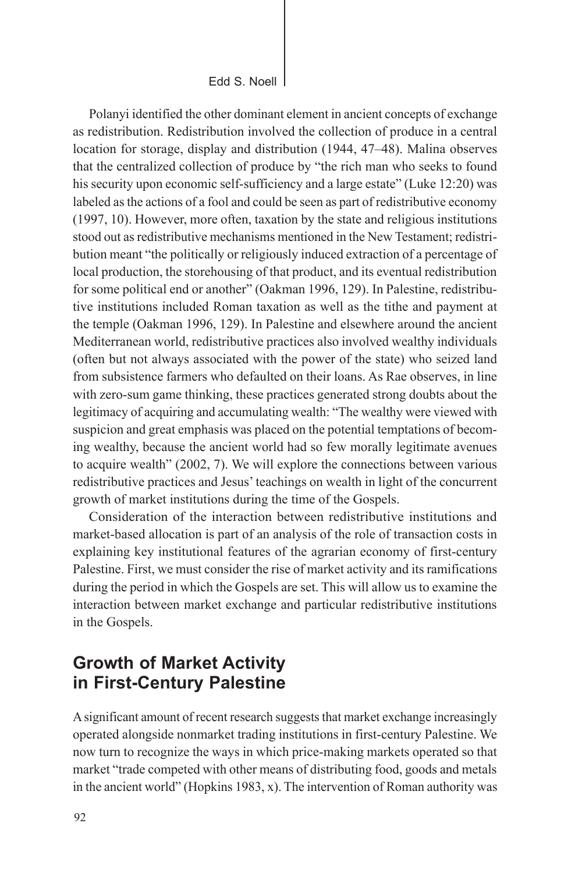Polanyi identified the other dominant element in ancient concepts of exchange as redistribution. Redistribution involved the collection of produce in a central location for storage, display and distribution (1944, 47–48). Malina observes that the centralized collection of produce by "the rich man who seeks to found his security upon economic self-sufficiency and a large estate" (Luke 12:20) was labeled as the actions of a fool and could be seen as part of redistributive economy (1997, 10). However, more often, taxation by the state and religious institutions stood out as redistributive mechanisms mentioned in the New Testament; redistribution meant "the politically or religiously induced extraction of a percentage of local production, the storehousing of that product, and its eventual redistribution for some political end or another" (Oakman 1996, 129). In Palestine, redistributive institutions included Roman taxation as well as the tithe and payment at the temple (Oakman 1996, 129). In Palestine and elsewhere around the ancient Mediterranean world, redistributive practices also involved wealthy individuals (often but not always associated with the power of the state) who seized land from subsistence farmers who defaulted on their loans. As Rae observes, in line with zero-sum game thinking, these practices generated strong doubts about the legitimacy of acquiring and accumulating wealth: "The wealthy were viewed with suspicion and great emphasis was placed on the potential temptations of becoming wealthy, because the ancient world had so few morally legitimate avenues to acquire wealth" (2002, 7). We will explore the connections between various redistributive practices and Jesus' teachings on wealth in light of the concurrent growth of market institutions during the time of the Gospels.

Consideration of the interaction between redistributive institutions and market-based allocation is part of an analysis of the role of transaction costs in explaining key institutional features of the agrarian economy of first-century Palestine. First, we must consider the rise of market activity and its ramifications during the period in which the Gospels are set. This will allow us to examine the interaction between market exchange and particular redistributive institutions in the Gospels.

## **Growth of Market Activity in First-Century Palestine**

A significant amount of recent research suggests that market exchange increasingly operated alongside nonmarket trading institutions in first-century Palestine. We now turn to recognize the ways in which price-making markets operated so that market "trade competed with other means of distributing food, goods and metals in the ancient world" (Hopkins 1983, x). The intervention of Roman authority was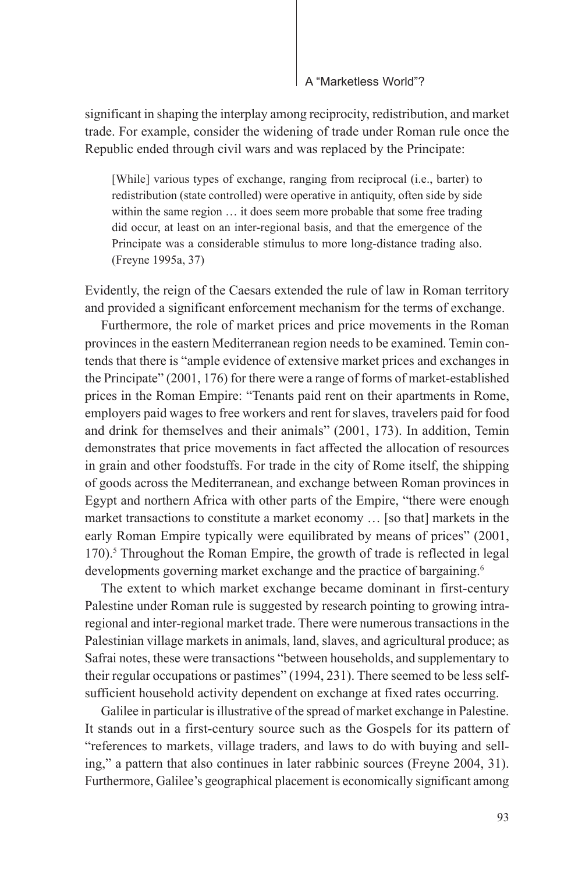significant in shaping the interplay among reciprocity, redistribution, and market trade. For example, consider the widening of trade under Roman rule once the Republic ended through civil wars and was replaced by the Principate:

[While] various types of exchange, ranging from reciprocal (i.e., barter) to redistribution (state controlled) were operative in antiquity, often side by side within the same region  $\dots$  it does seem more probable that some free trading did occur, at least on an inter-regional basis, and that the emergence of the Principate was a considerable stimulus to more long-distance trading also. (Freyne 1995a, 37)

Evidently, the reign of the Caesars extended the rule of law in Roman territory and provided a significant enforcement mechanism for the terms of exchange.

Furthermore, the role of market prices and price movements in the Roman provinces in the eastern Mediterranean region needs to be examined. Temin contends that there is "ample evidence of extensive market prices and exchanges in the Principate" (2001, 176) for there were a range of forms of market-established prices in the Roman Empire: "Tenants paid rent on their apartments in Rome, employers paid wages to free workers and rent for slaves, travelers paid for food and drink for themselves and their animals" (2001, 173). In addition, Temin demonstrates that price movements in fact affected the allocation of resources in grain and other foodstuffs. For trade in the city of Rome itself, the shipping of goods across the Mediterranean, and exchange between Roman provinces in Egypt and northern Africa with other parts of the Empire, "there were enough market transactions to constitute a market economy … [so that] markets in the early Roman Empire typically were equilibrated by means of prices" (2001, 170).<sup>5</sup> Throughout the Roman Empire, the growth of trade is reflected in legal developments governing market exchange and the practice of bargaining.<sup>6</sup>

The extent to which market exchange became dominant in first-century Palestine under Roman rule is suggested by research pointing to growing intraregional and inter-regional market trade. There were numerous transactions in the Palestinian village markets in animals, land, slaves, and agricultural produce; as Safrai notes, these were transactions "between households, and supplementary to their regular occupations or pastimes" (1994, 231). There seemed to be less selfsufficient household activity dependent on exchange at fixed rates occurring.

Galilee in particular is illustrative of the spread of market exchange in Palestine. It stands out in a first-century source such as the Gospels for its pattern of "references to markets, village traders, and laws to do with buying and selling," a pattern that also continues in later rabbinic sources (Freyne 2004, 31). Furthermore, Galilee's geographical placement is economically significant among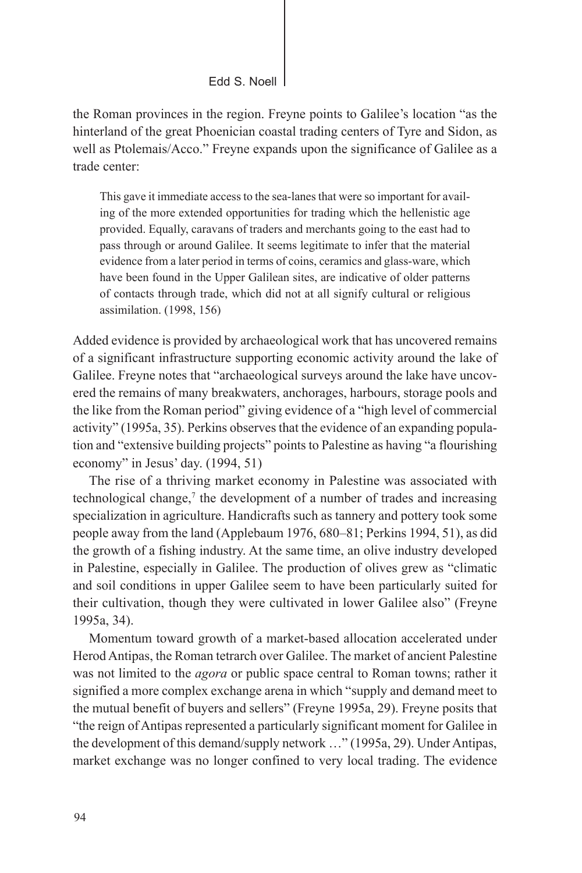the Roman provinces in the region. Freyne points to Galilee's location "as the hinterland of the great Phoenician coastal trading centers of Tyre and Sidon, as well as Ptolemais/Acco." Freyne expands upon the significance of Galilee as a trade center:

This gave it immediate access to the sea-lanes that were so important for availing of the more extended opportunities for trading which the hellenistic age provided. Equally, caravans of traders and merchants going to the east had to pass through or around Galilee. It seems legitimate to infer that the material evidence from a later period in terms of coins, ceramics and glass-ware, which have been found in the Upper Galilean sites, are indicative of older patterns of contacts through trade, which did not at all signify cultural or religious assimilation. (1998, 156)

Added evidence is provided by archaeological work that has uncovered remains of a significant infrastructure supporting economic activity around the lake of Galilee. Freyne notes that "archaeological surveys around the lake have uncovered the remains of many breakwaters, anchorages, harbours, storage pools and the like from the Roman period" giving evidence of a "high level of commercial activity" (1995a, 35). Perkins observes that the evidence of an expanding population and "extensive building projects" points to Palestine as having "a flourishing economy" in Jesus' day. (1994, 51)

The rise of a thriving market economy in Palestine was associated with technological change,<sup>7</sup> the development of a number of trades and increasing specialization in agriculture. Handicrafts such as tannery and pottery took some people away from the land (Applebaum 1976, 680–81; Perkins 1994, 51), as did the growth of a fishing industry. At the same time, an olive industry developed in Palestine, especially in Galilee. The production of olives grew as "climatic and soil conditions in upper Galilee seem to have been particularly suited for their cultivation, though they were cultivated in lower Galilee also" (Freyne 1995a, 34).

Momentum toward growth of a market-based allocation accelerated under Herod Antipas, the Roman tetrarch over Galilee. The market of ancient Palestine was not limited to the *agora* or public space central to Roman towns; rather it signified a more complex exchange arena in which "supply and demand meet to the mutual benefit of buyers and sellers" (Freyne 1995a, 29). Freyne posits that "the reign of Antipas represented a particularly significant moment for Galilee in the development of this demand/supply network …" (1995a, 29). Under Antipas, market exchange was no longer confined to very local trading. The evidence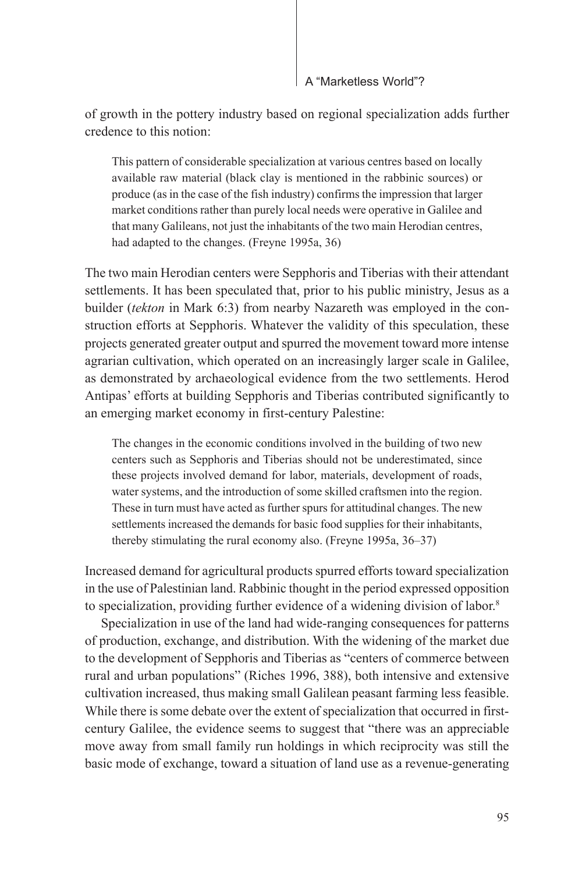of growth in the pottery industry based on regional specialization adds further credence to this notion:

This pattern of considerable specialization at various centres based on locally available raw material (black clay is mentioned in the rabbinic sources) or produce (as in the case of the fish industry) confirms the impression that larger market conditions rather than purely local needs were operative in Galilee and that many Galileans, not just the inhabitants of the two main Herodian centres, had adapted to the changes. (Freyne 1995a, 36)

The two main Herodian centers were Sepphoris and Tiberias with their attendant settlements. It has been speculated that, prior to his public ministry, Jesus as a builder (*tekton* in Mark 6:3) from nearby Nazareth was employed in the construction efforts at Sepphoris. Whatever the validity of this speculation, these projects generated greater output and spurred the movement toward more intense agrarian cultivation, which operated on an increasingly larger scale in Galilee, as demonstrated by archaeological evidence from the two settlements. Herod Antipas' efforts at building Sepphoris and Tiberias contributed significantly to an emerging market economy in first-century Palestine:

The changes in the economic conditions involved in the building of two new centers such as Sepphoris and Tiberias should not be underestimated, since these projects involved demand for labor, materials, development of roads, water systems, and the introduction of some skilled craftsmen into the region. These in turn must have acted as further spurs for attitudinal changes. The new settlements increased the demands for basic food supplies for their inhabitants, thereby stimulating the rural economy also. (Freyne 1995a, 36–37)

Increased demand for agricultural products spurred efforts toward specialization in the use of Palestinian land. Rabbinic thought in the period expressed opposition to specialization, providing further evidence of a widening division of labor.<sup>8</sup>

Specialization in use of the land had wide-ranging consequences for patterns of production, exchange, and distribution. With the widening of the market due to the development of Sepphoris and Tiberias as "centers of commerce between rural and urban populations" (Riches 1996, 388), both intensive and extensive cultivation increased, thus making small Galilean peasant farming less feasible. While there is some debate over the extent of specialization that occurred in firstcentury Galilee, the evidence seems to suggest that "there was an appreciable move away from small family run holdings in which reciprocity was still the basic mode of exchange, toward a situation of land use as a revenue-generating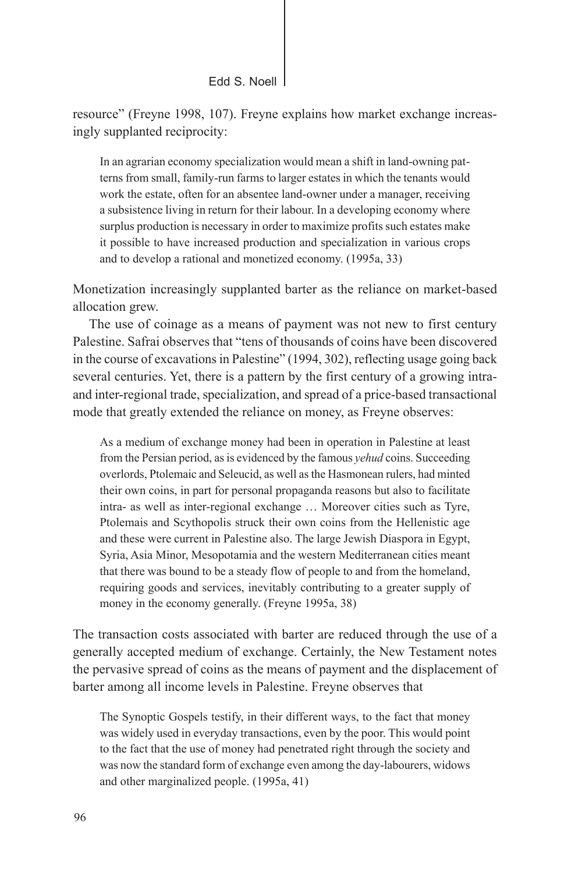resource" (Freyne 1998, 107). Freyne explains how market exchange increasingly supplanted reciprocity:

In an agrarian economy specialization would mean a shift in land-owning patterns from small, family-run farms to larger estates in which the tenants would work the estate, often for an absentee land-owner under a manager, receiving a subsistence living in return for their labour. In a developing economy where surplus production is necessary in order to maximize profits such estates make it possible to have increased production and specialization in various crops and to develop a rational and monetized economy. (1995a, 33)

Monetization increasingly supplanted barter as the reliance on market-based allocation grew.

The use of coinage as a means of payment was not new to first century Palestine. Safrai observes that "tens of thousands of coins have been discovered in the course of excavations in Palestine" (1994, 302), reflecting usage going back several centuries. Yet, there is a pattern by the first century of a growing intraand inter-regional trade, specialization, and spread of a price-based transactional mode that greatly extended the reliance on money, as Freyne observes:

As a medium of exchange money had been in operation in Palestine at least from the Persian period, as is evidenced by the famous *yehud* coins. Succeeding overlords, Ptolemaic and Seleucid, as well as the Hasmonean rulers, had minted their own coins, in part for personal propaganda reasons but also to facilitate intra- as well as inter-regional exchange … Moreover cities such as Tyre, Ptolemais and Scythopolis struck their own coins from the Hellenistic age and these were current in Palestine also. The large Jewish Diaspora in Egypt, Syria, Asia Minor, Mesopotamia and the western Mediterranean cities meant that there was bound to be a steady flow of people to and from the homeland, requiring goods and services, inevitably contributing to a greater supply of money in the economy generally. (Freyne 1995a, 38)

The transaction costs associated with barter are reduced through the use of a generally accepted medium of exchange. Certainly, the New Testament notes the pervasive spread of coins as the means of payment and the displacement of barter among all income levels in Palestine. Freyne observes that

The Synoptic Gospels testify, in their different ways, to the fact that money was widely used in everyday transactions, even by the poor. This would point to the fact that the use of money had penetrated right through the society and was now the standard form of exchange even among the day-labourers, widows and other marginalized people. (1995a, 41)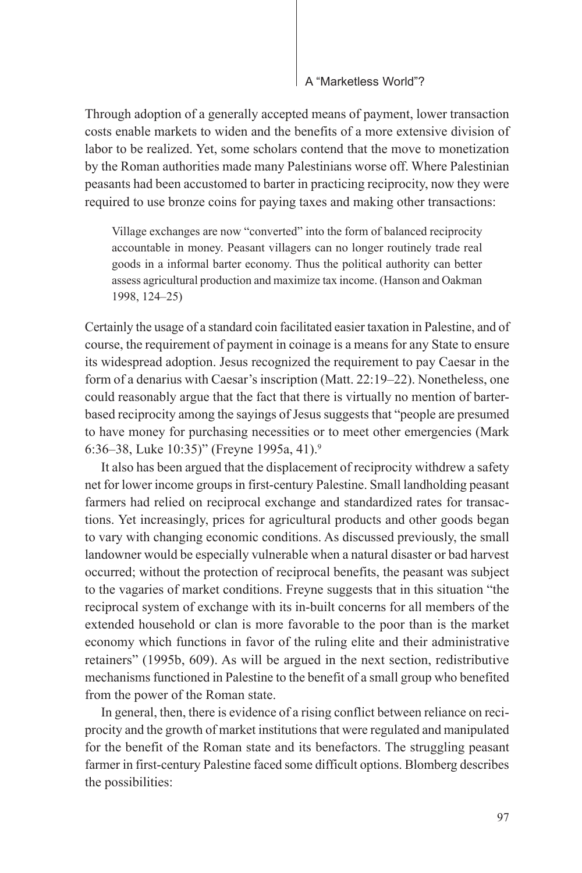Through adoption of a generally accepted means of payment, lower transaction costs enable markets to widen and the benefits of a more extensive division of labor to be realized. Yet, some scholars contend that the move to monetization by the Roman authorities made many Palestinians worse off. Where Palestinian peasants had been accustomed to barter in practicing reciprocity, now they were required to use bronze coins for paying taxes and making other transactions:

Village exchanges are now "converted" into the form of balanced reciprocity accountable in money. Peasant villagers can no longer routinely trade real goods in a informal barter economy. Thus the political authority can better assess agricultural production and maximize tax income. (Hanson and Oakman 1998, 124–25)

Certainly the usage of a standard coin facilitated easier taxation in Palestine, and of course, the requirement of payment in coinage is a means for any State to ensure its widespread adoption. Jesus recognized the requirement to pay Caesar in the form of a denarius with Caesar's inscription (Matt. 22:19–22). Nonetheless, one could reasonably argue that the fact that there is virtually no mention of barterbased reciprocity among the sayings of Jesus suggests that "people are presumed to have money for purchasing necessities or to meet other emergencies (Mark 6:36–38, Luke 10:35)" (Freyne 1995a, 41).9

It also has been argued that the displacement of reciprocity withdrew a safety net for lower income groups in first-century Palestine. Small landholding peasant farmers had relied on reciprocal exchange and standardized rates for transactions. Yet increasingly, prices for agricultural products and other goods began to vary with changing economic conditions. As discussed previously, the small landowner would be especially vulnerable when a natural disaster or bad harvest occurred; without the protection of reciprocal benefits, the peasant was subject to the vagaries of market conditions. Freyne suggests that in this situation "the reciprocal system of exchange with its in-built concerns for all members of the extended household or clan is more favorable to the poor than is the market economy which functions in favor of the ruling elite and their administrative retainers" (1995b, 609). As will be argued in the next section, redistributive mechanisms functioned in Palestine to the benefit of a small group who benefited from the power of the Roman state.

In general, then, there is evidence of a rising conflict between reliance on reciprocity and the growth of market institutions that were regulated and manipulated for the benefit of the Roman state and its benefactors. The struggling peasant farmer in first-century Palestine faced some difficult options. Blomberg describes the possibilities: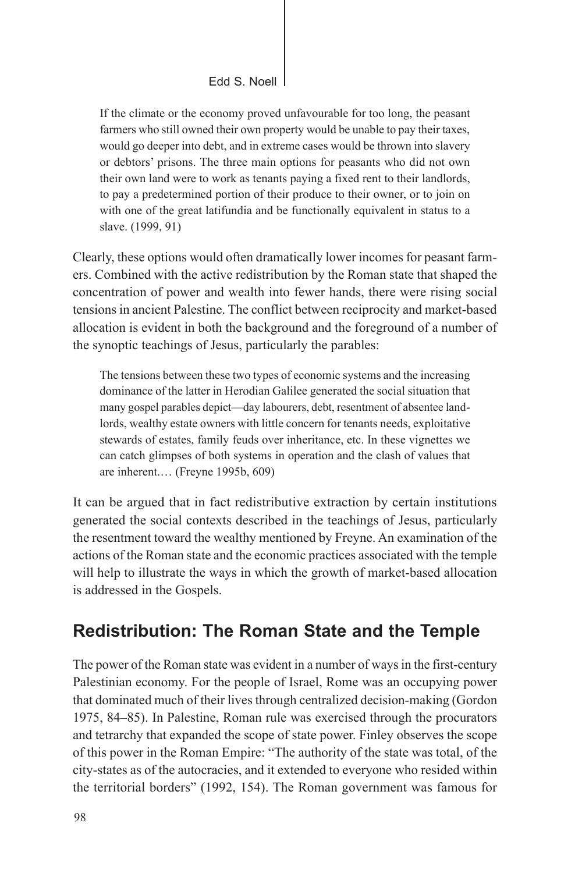If the climate or the economy proved unfavourable for too long, the peasant farmers who still owned their own property would be unable to pay their taxes, would go deeper into debt, and in extreme cases would be thrown into slavery or debtors' prisons. The three main options for peasants who did not own their own land were to work as tenants paying a fixed rent to their landlords, to pay a predetermined portion of their produce to their owner, or to join on with one of the great latifundia and be functionally equivalent in status to a slave. (1999, 91)

Clearly, these options would often dramatically lower incomes for peasant farmers. Combined with the active redistribution by the Roman state that shaped the concentration of power and wealth into fewer hands, there were rising social tensions in ancient Palestine. The conflict between reciprocity and market-based allocation is evident in both the background and the foreground of a number of the synoptic teachings of Jesus, particularly the parables:

The tensions between these two types of economic systems and the increasing dominance of the latter in Herodian Galilee generated the social situation that many gospel parables depict—day labourers, debt, resentment of absentee landlords, wealthy estate owners with little concern for tenants needs, exploitative stewards of estates, family feuds over inheritance, etc. In these vignettes we can catch glimpses of both systems in operation and the clash of values that are inherent.… (Freyne 1995b, 609)

It can be argued that in fact redistributive extraction by certain institutions generated the social contexts described in the teachings of Jesus, particularly the resentment toward the wealthy mentioned by Freyne. An examination of the actions of the Roman state and the economic practices associated with the temple will help to illustrate the ways in which the growth of market-based allocation is addressed in the Gospels.

# **Redistribution: The Roman State and the Temple**

The power of the Roman state was evident in a number of ways in the first-century Palestinian economy. For the people of Israel, Rome was an occupying power that dominated much of their lives through centralized decision-making (Gordon 1975, 84–85). In Palestine, Roman rule was exercised through the procurators and tetrarchy that expanded the scope of state power. Finley observes the scope of this power in the Roman Empire: "The authority of the state was total, of the city-states as of the autocracies, and it extended to everyone who resided within the territorial borders" (1992, 154). The Roman government was famous for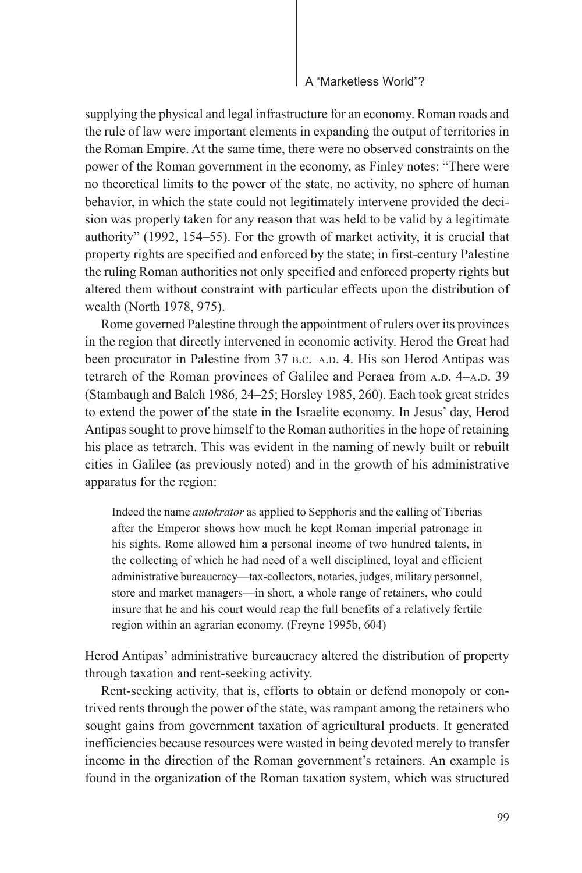supplying the physical and legal infrastructure for an economy. Roman roads and the rule of law were important elements in expanding the output of territories in the Roman Empire. At the same time, there were no observed constraints on the power of the Roman government in the economy, as Finley notes: "There were no theoretical limits to the power of the state, no activity, no sphere of human behavior, in which the state could not legitimately intervene provided the decision was properly taken for any reason that was held to be valid by a legitimate authority" (1992, 154–55). For the growth of market activity, it is crucial that property rights are specified and enforced by the state; in first-century Palestine the ruling Roman authorities not only specified and enforced property rights but altered them without constraint with particular effects upon the distribution of wealth (North 1978, 975).

Rome governed Palestine through the appointment of rulers over its provinces in the region that directly intervened in economic activity. Herod the Great had been procurator in Palestine from 37 B.C.–A.D. 4. His son Herod Antipas was tetrarch of the Roman provinces of Galilee and Peraea from A.D. 4–A.D. 39 (Stambaugh and Balch 1986, 24–25; Horsley 1985, 260). Each took great strides to extend the power of the state in the Israelite economy. In Jesus' day, Herod Antipas sought to prove himself to the Roman authorities in the hope of retaining his place as tetrarch. This was evident in the naming of newly built or rebuilt cities in Galilee (as previously noted) and in the growth of his administrative apparatus for the region:

Indeed the name *autokrator* as applied to Sepphoris and the calling of Tiberias after the Emperor shows how much he kept Roman imperial patronage in his sights. Rome allowed him a personal income of two hundred talents, in the collecting of which he had need of a well disciplined, loyal and efficient administrative bureaucracy—tax-collectors, notaries, judges, military personnel, store and market managers—in short, a whole range of retainers, who could insure that he and his court would reap the full benefits of a relatively fertile region within an agrarian economy. (Freyne 1995b, 604)

Herod Antipas' administrative bureaucracy altered the distribution of property through taxation and rent-seeking activity.

Rent-seeking activity, that is, efforts to obtain or defend monopoly or contrived rents through the power of the state, was rampant among the retainers who sought gains from government taxation of agricultural products. It generated inefficiencies because resources were wasted in being devoted merely to transfer income in the direction of the Roman government's retainers. An example is found in the organization of the Roman taxation system, which was structured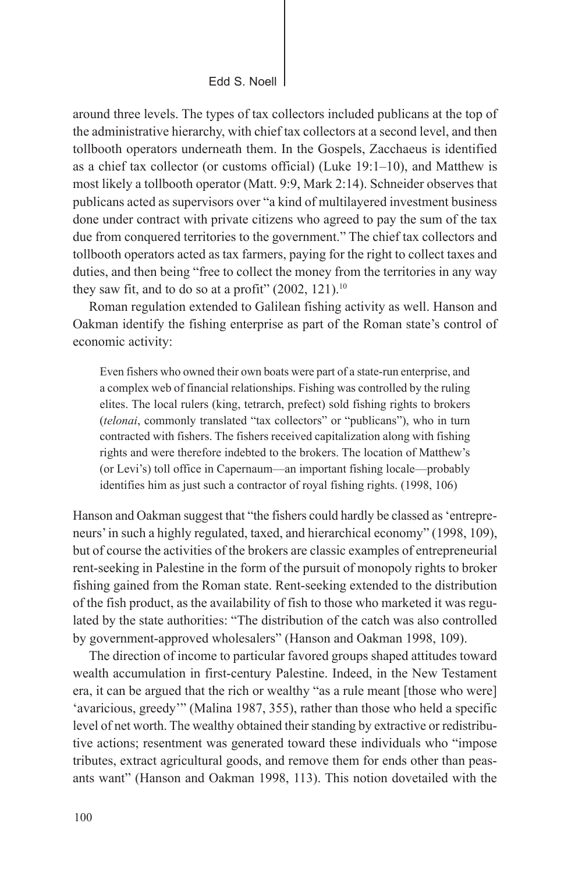Edd S. Noell

around three levels. The types of tax collectors included publicans at the top of the administrative hierarchy, with chief tax collectors at a second level, and then tollbooth operators underneath them. In the Gospels, Zacchaeus is identified as a chief tax collector (or customs official) (Luke 19:1–10), and Matthew is most likely a tollbooth operator (Matt. 9:9, Mark 2:14). Schneider observes that publicans acted as supervisors over "a kind of multilayered investment business done under contract with private citizens who agreed to pay the sum of the tax due from conquered territories to the government." The chief tax collectors and tollbooth operators acted as tax farmers, paying for the right to collect taxes and duties, and then being "free to collect the money from the territories in any way they saw fit, and to do so at a profit"  $(2002, 121)$ .<sup>10</sup>

Roman regulation extended to Galilean fishing activity as well. Hanson and Oakman identify the fishing enterprise as part of the Roman state's control of economic activity:

Even fishers who owned their own boats were part of a state-run enterprise, and a complex web of financial relationships. Fishing was controlled by the ruling elites. The local rulers (king, tetrarch, prefect) sold fishing rights to brokers (*telonai*, commonly translated "tax collectors" or "publicans"), who in turn contracted with fishers. The fishers received capitalization along with fishing rights and were therefore indebted to the brokers. The location of Matthew's (or Levi's) toll office in Capernaum—an important fishing locale—probably identifies him as just such a contractor of royal fishing rights. (1998, 106)

Hanson and Oakman suggest that "the fishers could hardly be classed as 'entrepreneurs' in such a highly regulated, taxed, and hierarchical economy" (1998, 109), but of course the activities of the brokers are classic examples of entrepreneurial rent-seeking in Palestine in the form of the pursuit of monopoly rights to broker fishing gained from the Roman state. Rent-seeking extended to the distribution of the fish product, as the availability of fish to those who marketed it was regulated by the state authorities: "The distribution of the catch was also controlled by government-approved wholesalers" (Hanson and Oakman 1998, 109).

The direction of income to particular favored groups shaped attitudes toward wealth accumulation in first-century Palestine. Indeed, in the New Testament era, it can be argued that the rich or wealthy "as a rule meant [those who were] 'avaricious, greedy'" (Malina 1987, 355), rather than those who held a specific level of net worth. The wealthy obtained their standing by extractive or redistributive actions; resentment was generated toward these individuals who "impose tributes, extract agricultural goods, and remove them for ends other than peasants want" (Hanson and Oakman 1998, 113). This notion dovetailed with the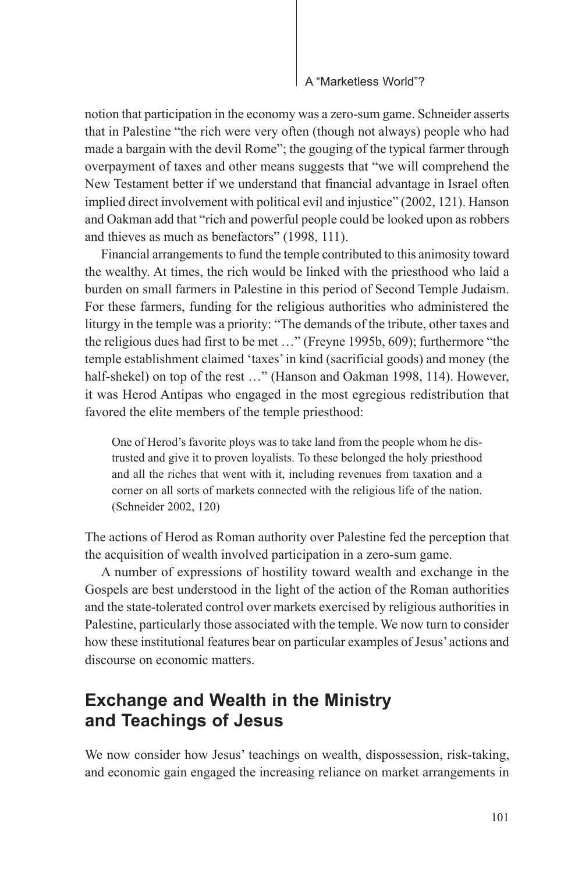notion that participation in the economy was a zero-sum game. Schneider asserts that in Palestine "the rich were very often (though not always) people who had made a bargain with the devil Rome"; the gouging of the typical farmer through overpayment of taxes and other means suggests that "we will comprehend the New Testament better if we understand that financial advantage in Israel often implied direct involvement with political evil and injustice" (2002, 121). Hanson and Oakman add that "rich and powerful people could be looked upon as robbers and thieves as much as benefactors" (1998, 111).

Financial arrangements to fund the temple contributed to this animosity toward the wealthy. At times, the rich would be linked with the priesthood who laid a burden on small farmers in Palestine in this period of Second Temple Judaism. For these farmers, funding for the religious authorities who administered the liturgy in the temple was a priority: "The demands of the tribute, other taxes and the religious dues had first to be met …" (Freyne 1995b, 609); furthermore "the temple establishment claimed 'taxes' in kind (sacrificial goods) and money (the half-shekel) on top of the rest ..." (Hanson and Oakman 1998, 114). However, it was Herod Antipas who engaged in the most egregious redistribution that favored the elite members of the temple priesthood:

One of Herod's favorite ploys was to take land from the people whom he distrusted and give it to proven loyalists. To these belonged the holy priesthood and all the riches that went with it, including revenues from taxation and a corner on all sorts of markets connected with the religious life of the nation. (Schneider 2002, 120)

The actions of Herod as Roman authority over Palestine fed the perception that the acquisition of wealth involved participation in a zero-sum game.

A number of expressions of hostility toward wealth and exchange in the Gospels are best understood in the light of the action of the Roman authorities and the state-tolerated control over markets exercised by religious authorities in Palestine, particularly those associated with the temple. We now turn to consider how these institutional features bear on particular examples of Jesus' actions and discourse on economic matters.

## **Exchange and Wealth in the Ministry and Teachings of Jesus**

We now consider how Jesus' teachings on wealth, dispossession, risk-taking, and economic gain engaged the increasing reliance on market arrangements in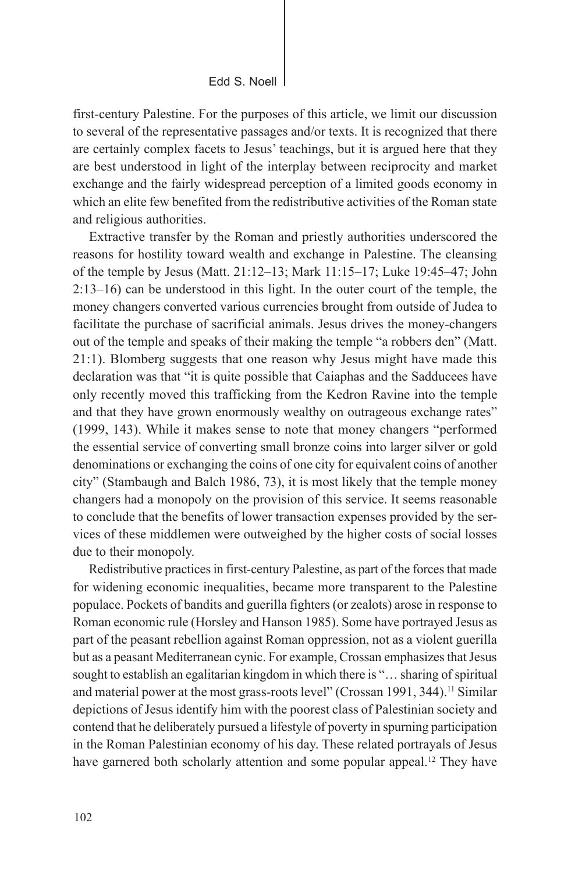first-century Palestine. For the purposes of this article, we limit our discussion to several of the representative passages and/or texts. It is recognized that there are certainly complex facets to Jesus' teachings, but it is argued here that they are best understood in light of the interplay between reciprocity and market exchange and the fairly widespread perception of a limited goods economy in which an elite few benefited from the redistributive activities of the Roman state and religious authorities.

Extractive transfer by the Roman and priestly authorities underscored the reasons for hostility toward wealth and exchange in Palestine. The cleansing of the temple by Jesus (Matt. 21:12–13; Mark 11:15–17; Luke 19:45–47; John 2:13–16) can be understood in this light. In the outer court of the temple, the money changers converted various currencies brought from outside of Judea to facilitate the purchase of sacrificial animals. Jesus drives the money-changers out of the temple and speaks of their making the temple "a robbers den" (Matt. 21:1). Blomberg suggests that one reason why Jesus might have made this declaration was that "it is quite possible that Caiaphas and the Sadducees have only recently moved this trafficking from the Kedron Ravine into the temple and that they have grown enormously wealthy on outrageous exchange rates" (1999, 143). While it makes sense to note that money changers "performed the essential service of converting small bronze coins into larger silver or gold denominations or exchanging the coins of one city for equivalent coins of another city" (Stambaugh and Balch 1986, 73), it is most likely that the temple money changers had a monopoly on the provision of this service. It seems reasonable to conclude that the benefits of lower transaction expenses provided by the services of these middlemen were outweighed by the higher costs of social losses due to their monopoly.

Redistributive practices in first-century Palestine, as part of the forces that made for widening economic inequalities, became more transparent to the Palestine populace. Pockets of bandits and guerilla fighters (or zealots) arose in response to Roman economic rule (Horsley and Hanson 1985). Some have portrayed Jesus as part of the peasant rebellion against Roman oppression, not as a violent guerilla but as a peasant Mediterranean cynic. For example, Crossan emphasizes that Jesus sought to establish an egalitarian kingdom in which there is "… sharing of spiritual and material power at the most grass-roots level" (Crossan 1991, 344).<sup>11</sup> Similar depictions of Jesus identify him with the poorest class of Palestinian society and contend that he deliberately pursued a lifestyle of poverty in spurning participation in the Roman Palestinian economy of his day. These related portrayals of Jesus have garnered both scholarly attention and some popular appeal.<sup>12</sup> They have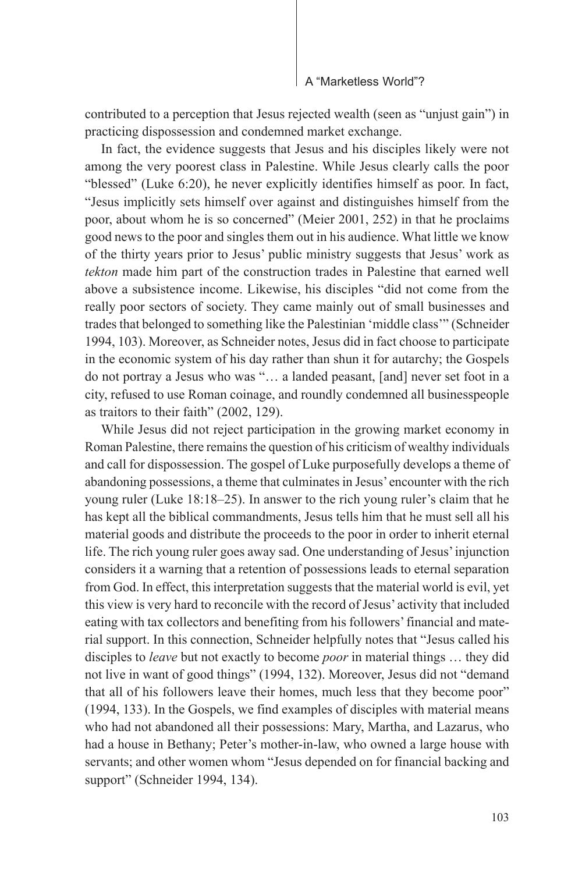contributed to a perception that Jesus rejected wealth (seen as "unjust gain") in practicing dispossession and condemned market exchange.

In fact, the evidence suggests that Jesus and his disciples likely were not among the very poorest class in Palestine. While Jesus clearly calls the poor "blessed" (Luke 6:20), he never explicitly identifies himself as poor. In fact, "Jesus implicitly sets himself over against and distinguishes himself from the poor, about whom he is so concerned" (Meier 2001, 252) in that he proclaims good news to the poor and singles them out in his audience. What little we know of the thirty years prior to Jesus' public ministry suggests that Jesus' work as *tekton* made him part of the construction trades in Palestine that earned well above a subsistence income. Likewise, his disciples "did not come from the really poor sectors of society. They came mainly out of small businesses and trades that belonged to something like the Palestinian 'middle class'" (Schneider 1994, 103). Moreover, as Schneider notes, Jesus did in fact choose to participate in the economic system of his day rather than shun it for autarchy; the Gospels do not portray a Jesus who was "… a landed peasant, [and] never set foot in a city, refused to use Roman coinage, and roundly condemned all businesspeople as traitors to their faith" (2002, 129).

While Jesus did not reject participation in the growing market economy in Roman Palestine, there remains the question of his criticism of wealthy individuals and call for dispossession. The gospel of Luke purposefully develops a theme of abandoning possessions, a theme that culminates in Jesus' encounter with the rich young ruler (Luke 18:18–25). In answer to the rich young ruler's claim that he has kept all the biblical commandments, Jesus tells him that he must sell all his material goods and distribute the proceeds to the poor in order to inherit eternal life. The rich young ruler goes away sad. One understanding of Jesus' injunction considers it a warning that a retention of possessions leads to eternal separation from God. In effect, this interpretation suggests that the material world is evil, yet this view is very hard to reconcile with the record of Jesus' activity that included eating with tax collectors and benefiting from his followers' financial and material support. In this connection, Schneider helpfully notes that "Jesus called his disciples to *leave* but not exactly to become *poor* in material things … they did not live in want of good things" (1994, 132). Moreover, Jesus did not "demand that all of his followers leave their homes, much less that they become poor" (1994, 133). In the Gospels, we find examples of disciples with material means who had not abandoned all their possessions: Mary, Martha, and Lazarus, who had a house in Bethany; Peter's mother-in-law, who owned a large house with servants; and other women whom "Jesus depended on for financial backing and support" (Schneider 1994, 134).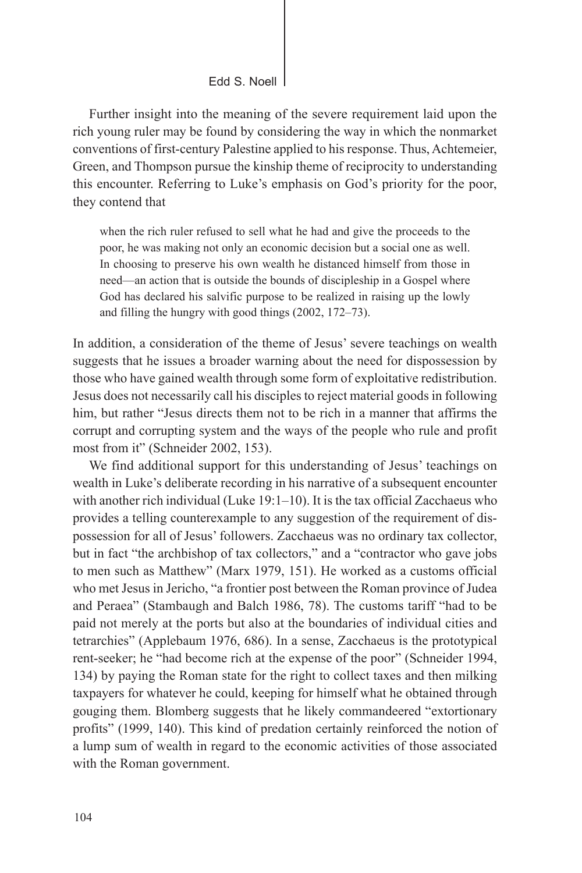Further insight into the meaning of the severe requirement laid upon the rich young ruler may be found by considering the way in which the nonmarket conventions of first-century Palestine applied to his response. Thus, Achtemeier, Green, and Thompson pursue the kinship theme of reciprocity to understanding this encounter. Referring to Luke's emphasis on God's priority for the poor, they contend that

when the rich ruler refused to sell what he had and give the proceeds to the poor, he was making not only an economic decision but a social one as well. In choosing to preserve his own wealth he distanced himself from those in need—an action that is outside the bounds of discipleship in a Gospel where God has declared his salvific purpose to be realized in raising up the lowly and filling the hungry with good things (2002, 172–73).

In addition, a consideration of the theme of Jesus' severe teachings on wealth suggests that he issues a broader warning about the need for dispossession by those who have gained wealth through some form of exploitative redistribution. Jesus does not necessarily call his disciples to reject material goods in following him, but rather "Jesus directs them not to be rich in a manner that affirms the corrupt and corrupting system and the ways of the people who rule and profit most from it" (Schneider 2002, 153).

We find additional support for this understanding of Jesus' teachings on wealth in Luke's deliberate recording in his narrative of a subsequent encounter with another rich individual (Luke 19:1–10). It is the tax official Zacchaeus who provides a telling counterexample to any suggestion of the requirement of dispossession for all of Jesus' followers. Zacchaeus was no ordinary tax collector, but in fact "the archbishop of tax collectors," and a "contractor who gave jobs to men such as Matthew" (Marx 1979, 151). He worked as a customs official who met Jesus in Jericho, "a frontier post between the Roman province of Judea and Peraea" (Stambaugh and Balch 1986, 78). The customs tariff "had to be paid not merely at the ports but also at the boundaries of individual cities and tetrarchies" (Applebaum 1976, 686). In a sense, Zacchaeus is the prototypical rent-seeker; he "had become rich at the expense of the poor" (Schneider 1994, 134) by paying the Roman state for the right to collect taxes and then milking taxpayers for whatever he could, keeping for himself what he obtained through gouging them. Blomberg suggests that he likely commandeered "extortionary profits" (1999, 140). This kind of predation certainly reinforced the notion of a lump sum of wealth in regard to the economic activities of those associated with the Roman government.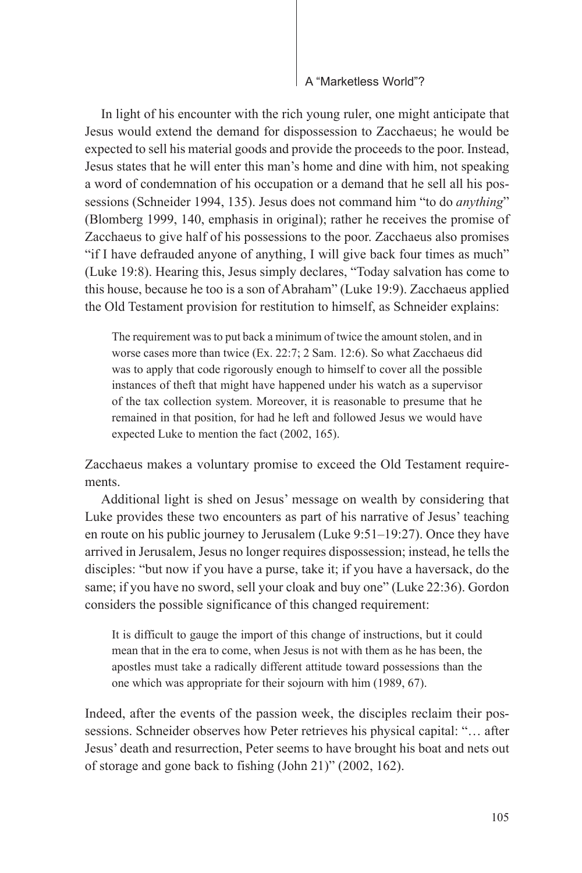In light of his encounter with the rich young ruler, one might anticipate that Jesus would extend the demand for dispossession to Zacchaeus; he would be expected to sell his material goods and provide the proceeds to the poor. Instead, Jesus states that he will enter this man's home and dine with him, not speaking a word of condemnation of his occupation or a demand that he sell all his possessions (Schneider 1994, 135). Jesus does not command him "to do *anything*" (Blomberg 1999, 140, emphasis in original); rather he receives the promise of Zacchaeus to give half of his possessions to the poor. Zacchaeus also promises "if I have defrauded anyone of anything, I will give back four times as much" (Luke 19:8). Hearing this, Jesus simply declares, "Today salvation has come to this house, because he too is a son of Abraham" (Luke 19:9). Zacchaeus applied the Old Testament provision for restitution to himself, as Schneider explains:

The requirement was to put back a minimum of twice the amount stolen, and in worse cases more than twice (Ex. 22:7; 2 Sam. 12:6). So what Zacchaeus did was to apply that code rigorously enough to himself to cover all the possible instances of theft that might have happened under his watch as a supervisor of the tax collection system. Moreover, it is reasonable to presume that he remained in that position, for had he left and followed Jesus we would have expected Luke to mention the fact (2002, 165).

Zacchaeus makes a voluntary promise to exceed the Old Testament requirements.

Additional light is shed on Jesus' message on wealth by considering that Luke provides these two encounters as part of his narrative of Jesus' teaching en route on his public journey to Jerusalem (Luke 9:51–19:27). Once they have arrived in Jerusalem, Jesus no longer requires dispossession; instead, he tells the disciples: "but now if you have a purse, take it; if you have a haversack, do the same; if you have no sword, sell your cloak and buy one" (Luke 22:36). Gordon considers the possible significance of this changed requirement:

It is difficult to gauge the import of this change of instructions, but it could mean that in the era to come, when Jesus is not with them as he has been, the apostles must take a radically different attitude toward possessions than the one which was appropriate for their sojourn with him (1989, 67).

Indeed, after the events of the passion week, the disciples reclaim their possessions. Schneider observes how Peter retrieves his physical capital: "… after Jesus' death and resurrection, Peter seems to have brought his boat and nets out of storage and gone back to fishing (John 21)" (2002, 162).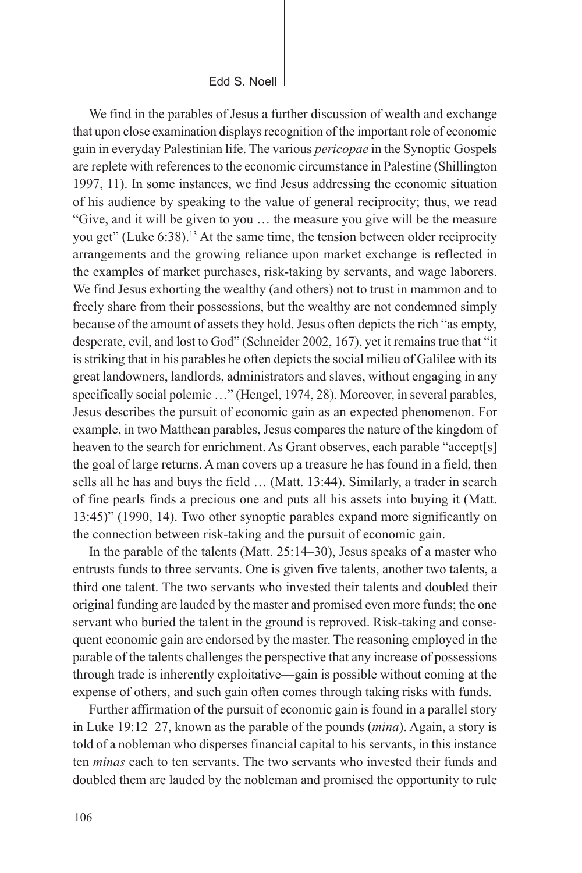We find in the parables of Jesus a further discussion of wealth and exchange that upon close examination displays recognition of the important role of economic gain in everyday Palestinian life. The various *pericopae* in the Synoptic Gospels are replete with references to the economic circumstance in Palestine (Shillington 1997, 11). In some instances, we find Jesus addressing the economic situation of his audience by speaking to the value of general reciprocity; thus, we read "Give, and it will be given to you … the measure you give will be the measure you get" (Luke 6:38).13 At the same time, the tension between older reciprocity arrangements and the growing reliance upon market exchange is reflected in the examples of market purchases, risk-taking by servants, and wage laborers. We find Jesus exhorting the wealthy (and others) not to trust in mammon and to freely share from their possessions, but the wealthy are not condemned simply because of the amount of assets they hold. Jesus often depicts the rich "as empty, desperate, evil, and lost to God" (Schneider 2002, 167), yet it remains true that "it is striking that in his parables he often depicts the social milieu of Galilee with its great landowners, landlords, administrators and slaves, without engaging in any specifically social polemic ..." (Hengel, 1974, 28). Moreover, in several parables, Jesus describes the pursuit of economic gain as an expected phenomenon. For example, in two Matthean parables, Jesus compares the nature of the kingdom of heaven to the search for enrichment. As Grant observes, each parable "accept[s] the goal of large returns. A man covers up a treasure he has found in a field, then sells all he has and buys the field … (Matt. 13:44). Similarly, a trader in search of fine pearls finds a precious one and puts all his assets into buying it (Matt. 13:45)" (1990, 14). Two other synoptic parables expand more significantly on the connection between risk-taking and the pursuit of economic gain.

In the parable of the talents (Matt. 25:14–30), Jesus speaks of a master who entrusts funds to three servants. One is given five talents, another two talents, a third one talent. The two servants who invested their talents and doubled their original funding are lauded by the master and promised even more funds; the one servant who buried the talent in the ground is reproved. Risk-taking and consequent economic gain are endorsed by the master. The reasoning employed in the parable of the talents challenges the perspective that any increase of possessions through trade is inherently exploitative—gain is possible without coming at the expense of others, and such gain often comes through taking risks with funds.

Further affirmation of the pursuit of economic gain is found in a parallel story in Luke 19:12–27, known as the parable of the pounds (*mina*). Again, a story is told of a nobleman who disperses financial capital to his servants, in this instance ten *minas* each to ten servants. The two servants who invested their funds and doubled them are lauded by the nobleman and promised the opportunity to rule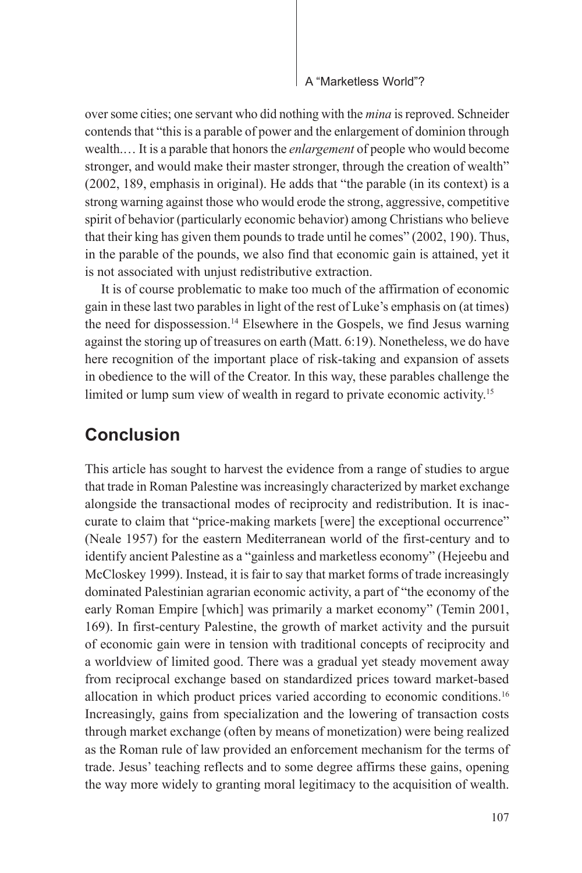over some cities; one servant who did nothing with the *mina* is reproved. Schneider contends that "this is a parable of power and the enlargement of dominion through wealth.… It is a parable that honors the *enlargement* of people who would become stronger, and would make their master stronger, through the creation of wealth" (2002, 189, emphasis in original). He adds that "the parable (in its context) is a strong warning against those who would erode the strong, aggressive, competitive spirit of behavior (particularly economic behavior) among Christians who believe that their king has given them pounds to trade until he comes" (2002, 190). Thus, in the parable of the pounds, we also find that economic gain is attained, yet it is not associated with unjust redistributive extraction.

It is of course problematic to make too much of the affirmation of economic gain in these last two parables in light of the rest of Luke's emphasis on (at times) the need for dispossession.<sup>14</sup> Elsewhere in the Gospels, we find Jesus warning against the storing up of treasures on earth (Matt. 6:19). Nonetheless, we do have here recognition of the important place of risk-taking and expansion of assets in obedience to the will of the Creator. In this way, these parables challenge the limited or lump sum view of wealth in regard to private economic activity.<sup>15</sup>

### **Conclusion**

This article has sought to harvest the evidence from a range of studies to argue that trade in Roman Palestine was increasingly characterized by market exchange alongside the transactional modes of reciprocity and redistribution. It is inaccurate to claim that "price-making markets [were] the exceptional occurrence" (Neale 1957) for the eastern Mediterranean world of the first-century and to identify ancient Palestine as a "gainless and marketless economy" (Hejeebu and McCloskey 1999). Instead, it is fair to say that market forms of trade increasingly dominated Palestinian agrarian economic activity, a part of "the economy of the early Roman Empire [which] was primarily a market economy" (Temin 2001, 169). In first-century Palestine, the growth of market activity and the pursuit of economic gain were in tension with traditional concepts of reciprocity and a worldview of limited good. There was a gradual yet steady movement away from reciprocal exchange based on standardized prices toward market-based allocation in which product prices varied according to economic conditions.16 Increasingly, gains from specialization and the lowering of transaction costs through market exchange (often by means of monetization) were being realized as the Roman rule of law provided an enforcement mechanism for the terms of trade. Jesus' teaching reflects and to some degree affirms these gains, opening the way more widely to granting moral legitimacy to the acquisition of wealth.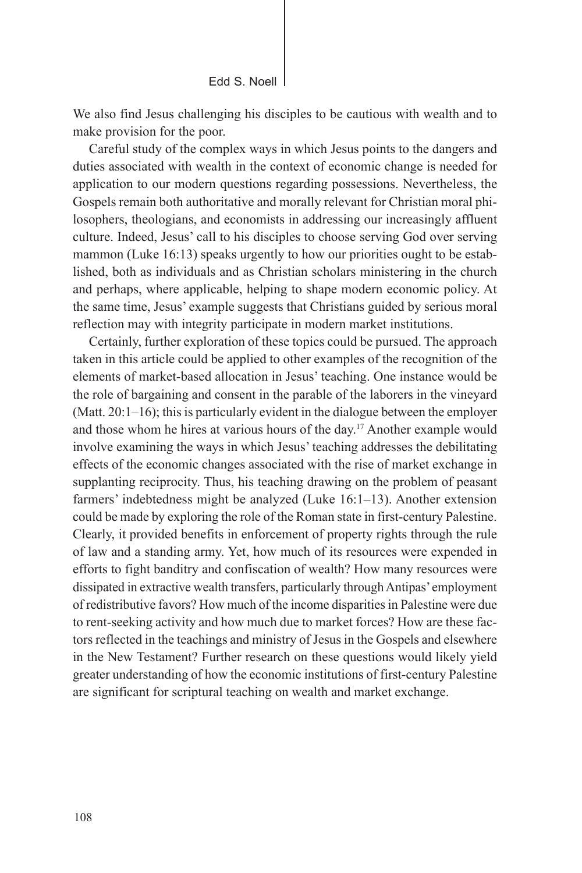Edd S. Noell

We also find Jesus challenging his disciples to be cautious with wealth and to make provision for the poor.

Careful study of the complex ways in which Jesus points to the dangers and duties associated with wealth in the context of economic change is needed for application to our modern questions regarding possessions. Nevertheless, the Gospels remain both authoritative and morally relevant for Christian moral philosophers, theologians, and economists in addressing our increasingly affluent culture. Indeed, Jesus' call to his disciples to choose serving God over serving mammon (Luke 16:13) speaks urgently to how our priorities ought to be established, both as individuals and as Christian scholars ministering in the church and perhaps, where applicable, helping to shape modern economic policy. At the same time, Jesus' example suggests that Christians guided by serious moral reflection may with integrity participate in modern market institutions.

Certainly, further exploration of these topics could be pursued. The approach taken in this article could be applied to other examples of the recognition of the elements of market-based allocation in Jesus' teaching. One instance would be the role of bargaining and consent in the parable of the laborers in the vineyard (Matt. 20:1–16); this is particularly evident in the dialogue between the employer and those whom he hires at various hours of the day.17 Another example would involve examining the ways in which Jesus' teaching addresses the debilitating effects of the economic changes associated with the rise of market exchange in supplanting reciprocity. Thus, his teaching drawing on the problem of peasant farmers' indebtedness might be analyzed (Luke 16:1–13). Another extension could be made by exploring the role of the Roman state in first-century Palestine. Clearly, it provided benefits in enforcement of property rights through the rule of law and a standing army. Yet, how much of its resources were expended in efforts to fight banditry and confiscation of wealth? How many resources were dissipated in extractive wealth transfers, particularly through Antipas' employment of redistributive favors? How much of the income disparities in Palestine were due to rent-seeking activity and how much due to market forces? How are these factors reflected in the teachings and ministry of Jesus in the Gospels and elsewhere in the New Testament? Further research on these questions would likely yield greater understanding of how the economic institutions of first-century Palestine are significant for scriptural teaching on wealth and market exchange.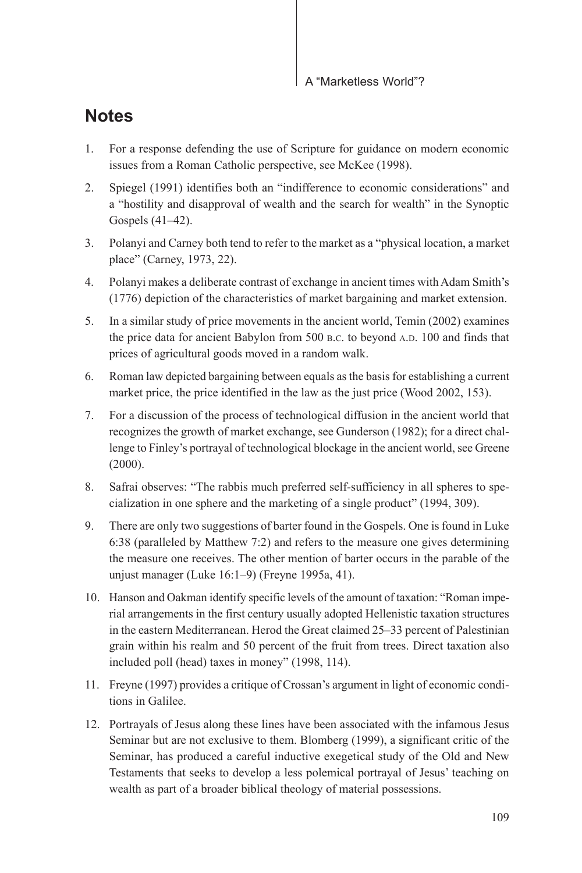## **Notes**

- 1. For a response defending the use of Scripture for guidance on modern economic issues from a Roman Catholic perspective, see McKee (1998).
- 2. Spiegel (1991) identifies both an "indifference to economic considerations" and a "hostility and disapproval of wealth and the search for wealth" in the Synoptic Gospels (41–42).
- 3. Polanyi and Carney both tend to refer to the market as a "physical location, a market place" (Carney, 1973, 22).
- 4. Polanyi makes a deliberate contrast of exchange in ancient times with Adam Smith's (1776) depiction of the characteristics of market bargaining and market extension.
- 5. In a similar study of price movements in the ancient world, Temin (2002) examines the price data for ancient Babylon from 500 B.C. to beyond A.D. 100 and finds that prices of agricultural goods moved in a random walk.
- 6. Roman law depicted bargaining between equals as the basis for establishing a current market price, the price identified in the law as the just price (Wood 2002, 153).
- 7. For a discussion of the process of technological diffusion in the ancient world that recognizes the growth of market exchange, see Gunderson (1982); for a direct challenge to Finley's portrayal of technological blockage in the ancient world, see Greene (2000).
- 8. Safrai observes: "The rabbis much preferred self-sufficiency in all spheres to specialization in one sphere and the marketing of a single product" (1994, 309).
- 9. There are only two suggestions of barter found in the Gospels. One is found in Luke 6:38 (paralleled by Matthew 7:2) and refers to the measure one gives determining the measure one receives. The other mention of barter occurs in the parable of the unjust manager (Luke 16:1–9) (Freyne 1995a, 41).
- 10. Hanson and Oakman identify specific levels of the amount of taxation: "Roman imperial arrangements in the first century usually adopted Hellenistic taxation structures in the eastern Mediterranean. Herod the Great claimed 25–33 percent of Palestinian grain within his realm and 50 percent of the fruit from trees. Direct taxation also included poll (head) taxes in money" (1998, 114).
- 11. Freyne (1997) provides a critique of Crossan's argument in light of economic conditions in Galilee.
- 12. Portrayals of Jesus along these lines have been associated with the infamous Jesus Seminar but are not exclusive to them. Blomberg (1999), a significant critic of the Seminar, has produced a careful inductive exegetical study of the Old and New Testaments that seeks to develop a less polemical portrayal of Jesus' teaching on wealth as part of a broader biblical theology of material possessions.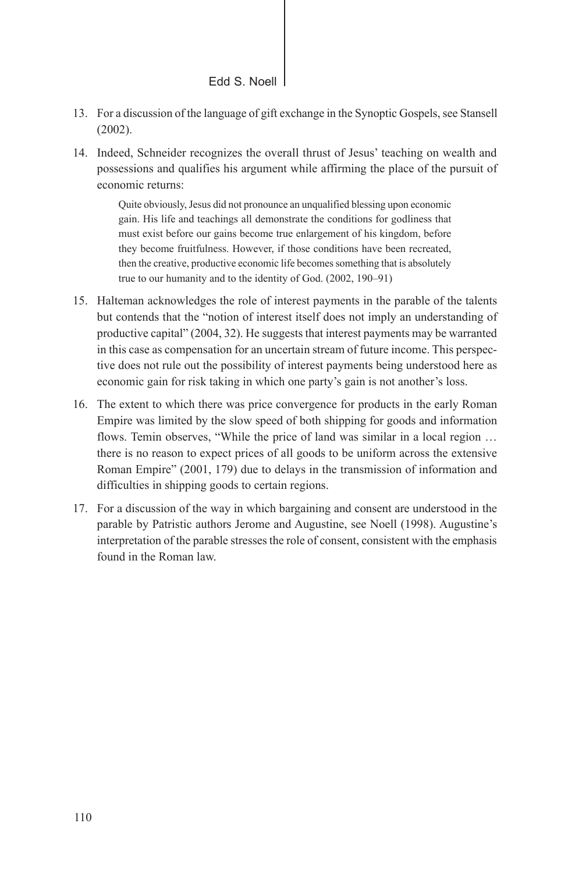- 13. For a discussion of the language of gift exchange in the Synoptic Gospels, see Stansell (2002).
- 14. Indeed, Schneider recognizes the overall thrust of Jesus' teaching on wealth and possessions and qualifies his argument while affirming the place of the pursuit of economic returns:

Quite obviously, Jesus did not pronounce an unqualified blessing upon economic gain. His life and teachings all demonstrate the conditions for godliness that must exist before our gains become true enlargement of his kingdom, before they become fruitfulness. However, if those conditions have been recreated, then the creative, productive economic life becomes something that is absolutely true to our humanity and to the identity of God. (2002, 190–91)

- 15. Halteman acknowledges the role of interest payments in the parable of the talents but contends that the "notion of interest itself does not imply an understanding of productive capital" (2004, 32). He suggests that interest payments may be warranted in this case as compensation for an uncertain stream of future income. This perspective does not rule out the possibility of interest payments being understood here as economic gain for risk taking in which one party's gain is not another's loss.
- 16. The extent to which there was price convergence for products in the early Roman Empire was limited by the slow speed of both shipping for goods and information flows. Temin observes, "While the price of land was similar in a local region … there is no reason to expect prices of all goods to be uniform across the extensive Roman Empire" (2001, 179) due to delays in the transmission of information and difficulties in shipping goods to certain regions.
- 17. For a discussion of the way in which bargaining and consent are understood in the parable by Patristic authors Jerome and Augustine, see Noell (1998). Augustine's interpretation of the parable stresses the role of consent, consistent with the emphasis found in the Roman law.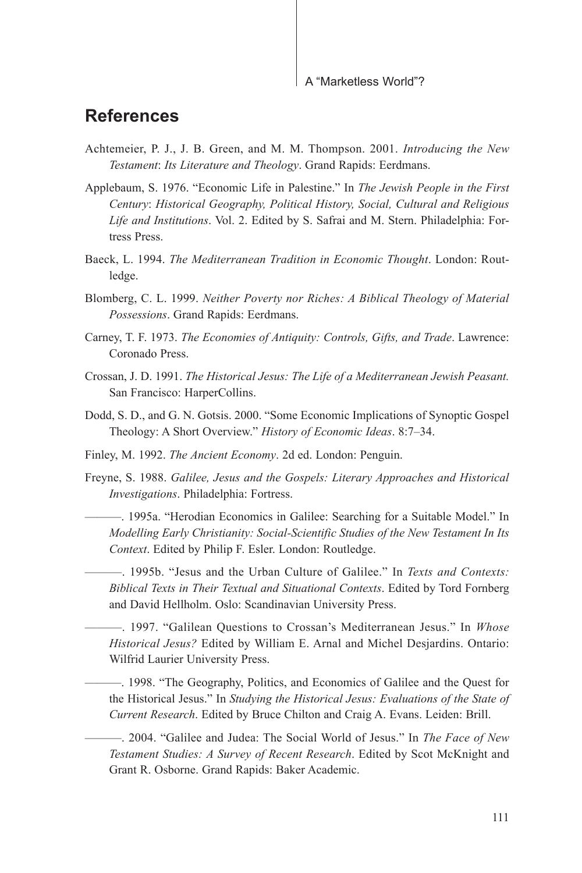### **References**

- Achtemeier, P. J., J. B. Green, and M. M. Thompson. 2001. *Introducing the New Testament*: *Its Literature and Theology*. Grand Rapids: Eerdmans.
- Applebaum, S. 1976. "Economic Life in Palestine." In *The Jewish People in the First Century*: *Historical Geography, Political History, Social, Cultural and Religious Life and Institutions*. Vol. 2. Edited by S. Safrai and M. Stern. Philadelphia: Fortress Press.
- Baeck, L. 1994. *The Mediterranean Tradition in Economic Thought*. London: Routledge.
- Blomberg, C. L. 1999. *Neither Poverty nor Riches: A Biblical Theology of Material Possessions*. Grand Rapids: Eerdmans.
- Carney, T. F. 1973. *The Economies of Antiquity: Controls, Gifts, and Trade*. Lawrence: Coronado Press.
- Crossan, J. D. 1991. *The Historical Jesus: The Life of a Mediterranean Jewish Peasant.*  San Francisco: HarperCollins.
- Dodd, S. D., and G. N. Gotsis. 2000. "Some Economic Implications of Synoptic Gospel Theology: A Short Overview." *History of Economic Ideas*. 8:7–34.
- Finley, M. 1992. *The Ancient Economy*. 2d ed. London: Penguin.
- Freyne, S. 1988. *Galilee, Jesus and the Gospels: Literary Approaches and Historical Investigations*. Philadelphia: Fortress.

———. 1995a. "Herodian Economics in Galilee: Searching for a Suitable Model." In *Modelling Early Christianity: Social-Scientific Studies of the New Testament In Its Context*. Edited by Philip F. Esler. London: Routledge.

———. 1995b. "Jesus and the Urban Culture of Galilee." In *Texts and Contexts: Biblical Texts in Their Textual and Situational Contexts*. Edited by Tord Fornberg and David Hellholm. Oslo: Scandinavian University Press.

———. 1997. "Galilean Questions to Crossan's Mediterranean Jesus." In *Whose Historical Jesus?* Edited by William E. Arnal and Michel Desjardins. Ontario: Wilfrid Laurier University Press.

———. 1998. "The Geography, Politics, and Economics of Galilee and the Quest for the Historical Jesus." In *Studying the Historical Jesus: Evaluations of the State of Current Research*. Edited by Bruce Chilton and Craig A. Evans. Leiden: Brill.

———. 2004. "Galilee and Judea: The Social World of Jesus." In *The Face of New Testament Studies: A Survey of Recent Research*. Edited by Scot McKnight and Grant R. Osborne. Grand Rapids: Baker Academic.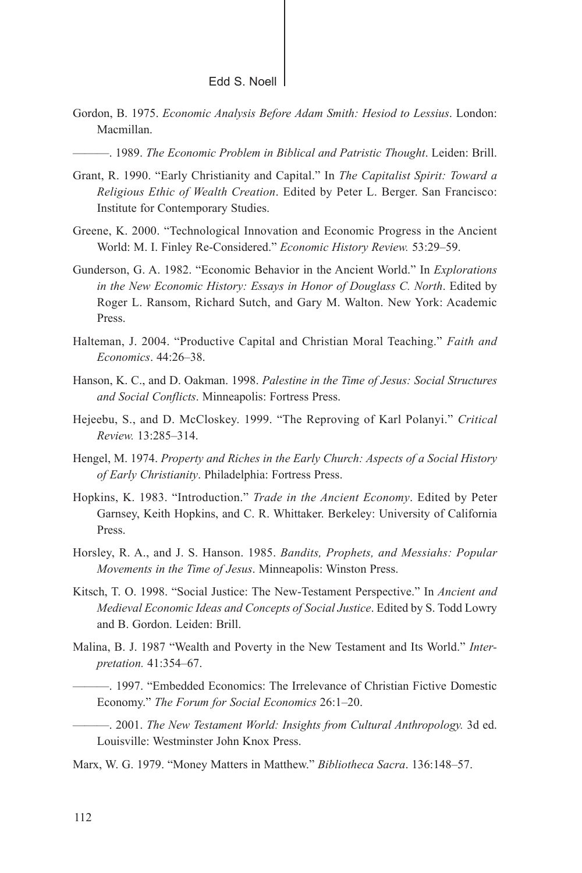- Gordon, B. 1975. *Economic Analysis Before Adam Smith: Hesiod to Lessius*. London: Macmillan.
	- ———. 1989. *The Economic Problem in Biblical and Patristic Thought*. Leiden: Brill.
- Grant, R. 1990. "Early Christianity and Capital." In *The Capitalist Spirit: Toward a Religious Ethic of Wealth Creation*. Edited by Peter L. Berger. San Francisco: Institute for Contemporary Studies.
- Greene, K. 2000. "Technological Innovation and Economic Progress in the Ancient World: M. I. Finley Re-Considered." *Economic History Review.* 53:29–59.
- Gunderson, G. A. 1982. "Economic Behavior in the Ancient World." In *Explorations in the New Economic History: Essays in Honor of Douglass C. North*. Edited by Roger L. Ransom, Richard Sutch, and Gary M. Walton. New York: Academic Press.
- Halteman, J. 2004. "Productive Capital and Christian Moral Teaching." *Faith and Economics*. 44:26–38.
- Hanson, K. C., and D. Oakman. 1998. *Palestine in the Time of Jesus: Social Structures and Social Conflicts*. Minneapolis: Fortress Press.
- Hejeebu, S., and D. McCloskey. 1999. "The Reproving of Karl Polanyi." *Critical Review.* 13:285–314.
- Hengel, M. 1974. *Property and Riches in the Early Church: Aspects of a Social History of Early Christianity*. Philadelphia: Fortress Press.
- Hopkins, K. 1983. "Introduction." *Trade in the Ancient Economy*. Edited by Peter Garnsey, Keith Hopkins, and C. R. Whittaker. Berkeley: University of California Press.
- Horsley, R. A., and J. S. Hanson. 1985. *Bandits, Prophets, and Messiahs: Popular Movements in the Time of Jesus*. Minneapolis: Winston Press.
- Kitsch, T. O. 1998. "Social Justice: The New-Testament Perspective." In *Ancient and Medieval Economic Ideas and Concepts of Social Justice*. Edited by S. Todd Lowry and B. Gordon. Leiden: Brill.
- Malina, B. J. 1987 "Wealth and Poverty in the New Testament and Its World." *Interpretation.* 41:354–67.
	- ———. 1997. "Embedded Economics: The Irrelevance of Christian Fictive Domestic Economy." *The Forum for Social Economics* 26:1–20.

———. 2001. *The New Testament World: Insights from Cultural Anthropology.* 3d ed. Louisville: Westminster John Knox Press.

Marx, W. G. 1979. "Money Matters in Matthew." *Bibliotheca Sacra*. 136:148–57.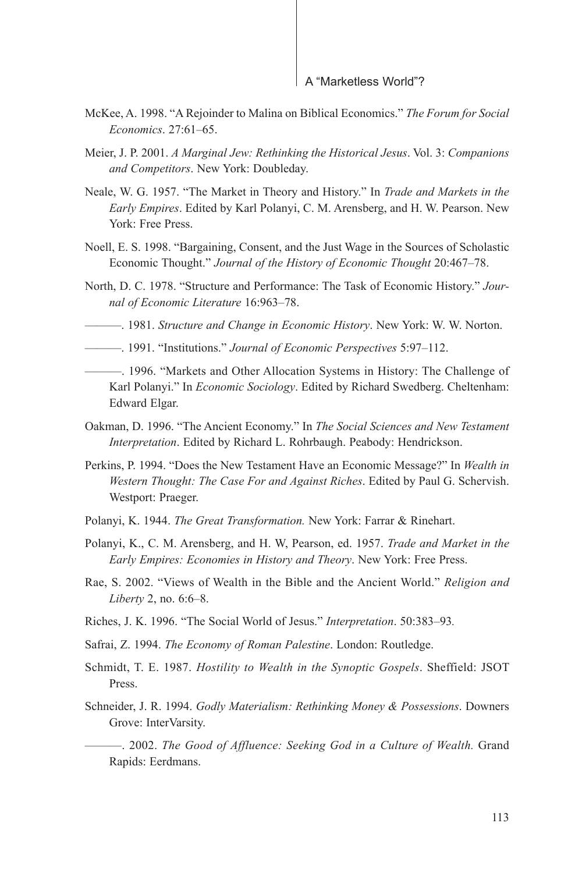- McKee, A. 1998. "A Rejoinder to Malina on Biblical Economics." *The Forum for Social Economics*. 27:61–65.
- Meier, J. P. 2001. *A Marginal Jew: Rethinking the Historical Jesus*. Vol. 3: *Companions and Competitors*. New York: Doubleday.
- Neale, W. G. 1957. "The Market in Theory and History." In *Trade and Markets in the Early Empires*. Edited by Karl Polanyi, C. M. Arensberg, and H. W. Pearson. New York: Free Press.
- Noell, E. S. 1998. "Bargaining, Consent, and the Just Wage in the Sources of Scholastic Economic Thought." *Journal of the History of Economic Thought* 20:467–78.
- North, D. C. 1978. "Structure and Performance: The Task of Economic History." *Journal of Economic Literature* 16:963–78.
- ———. 1981. *Structure and Change in Economic History*. New York: W. W. Norton.
- ———. 1991. "Institutions." *Journal of Economic Perspectives* 5:97–112.
- ———. 1996. "Markets and Other Allocation Systems in History: The Challenge of Karl Polanyi." In *Economic Sociology*. Edited by Richard Swedberg. Cheltenham: Edward Elgar.
- Oakman, D. 1996. "The Ancient Economy." In *The Social Sciences and New Testament Interpretation*. Edited by Richard L. Rohrbaugh. Peabody: Hendrickson.
- Perkins, P. 1994. "Does the New Testament Have an Economic Message?" In *Wealth in Western Thought: The Case For and Against Riches*. Edited by Paul G. Schervish. Westport: Praeger.
- Polanyi, K. 1944. *The Great Transformation.* New York: Farrar & Rinehart.
- Polanyi, K., C. M. Arensberg, and H. W, Pearson, ed. 1957. *Trade and Market in the Early Empires: Economies in History and Theory*. New York: Free Press.
- Rae, S. 2002. "Views of Wealth in the Bible and the Ancient World." *Religion and Liberty* 2, no. 6:6–8.
- Riches, J. K. 1996. "The Social World of Jesus." *Interpretation*. 50:383–93*.*
- Safrai, Z. 1994. *The Economy of Roman Palestine*. London: Routledge.
- Schmidt, T. E. 1987. *Hostility to Wealth in the Synoptic Gospels*. Sheffield: JSOT Press.
- Schneider, J. R. 1994. *Godly Materialism: Rethinking Money & Possessions*. Downers Grove: InterVarsity.
	- ———. 2002. *The Good of Affluence: Seeking God in a Culture of Wealth.* Grand Rapids: Eerdmans.